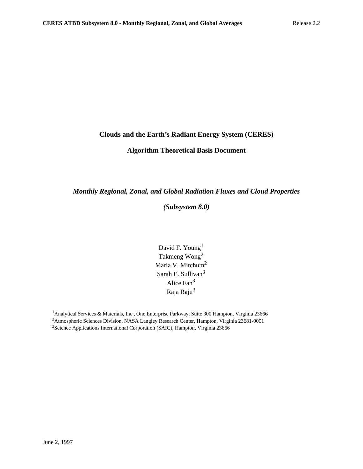### **Clouds and the Earth's Radiant Energy System (CERES)**

### **Algorithm Theoretical Basis Document**

### *Monthly Regional, Zonal, and Global Radiation Fluxes and Cloud Properties*

### *(Subsystem 8.0)*

David F. Young<sup>1</sup> Takmeng Wong2 Maria V. Mitchum<sup>2</sup> Sarah E. Sullivan<sup>3</sup> Alice Fan<sup>3</sup> Raja Raju<sup>3</sup>

<sup>&</sup>lt;sup>1</sup> Analytical Services & Materials, Inc., One Enterprise Parkway, Suite 300 Hampton, Virginia 23666 <sup>2</sup> Atmospheric Sciences Division, NASA Langley Research Center, Hampton, Virginia 23681-0001 <sup>3</sup>Science Applications International Corporation (SAIC), Hampton, Virginia 23666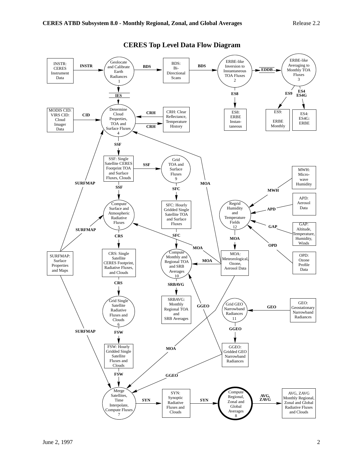

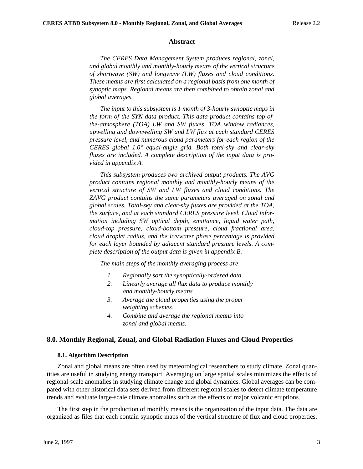#### **Abstract**

*The CERES Data Management System produces regional, zonal, and global monthly and monthly-hourly means of the vertical structure of shortwave (SW) and longwave (LW) fluxes and cloud conditions. These means are first calculated on a regional basis from one month of synoptic maps. Regional means are then combined to obtain zonal and global averages.*

*The input to this subsystem is 1 month of 3-hourly synoptic maps in the form of the SYN data product. This data product contains top-ofthe-atmosphere (TOA) LW and SW fluxes, TOA window radiances, upwelling and downwelling SW and LW flux at each standard CERES pressure level, and numerous cloud parameters for each region of the CERES global 1.0*° *equal-angle grid. Both total-sky and clear-sky fluxes are included. A complete description of the input data is provided in appendix A.*

*This subsystem produces two archived output products. The AVG product contains regional monthly and monthly-hourly means of the vertical structure of SW and LW fluxes and cloud conditions. The ZAVG product contains the same parameters averaged on zonal and global scales. Total-sky and clear-sky fluxes are provided at the TOA, the surface, and at each standard CERES pressure level. Cloud information including SW optical depth, emittance, liquid water path, cloud-top pressure, cloud-bottom pressure, cloud fractional area, cloud droplet radius, and the ice/water phase percentage is provided for each layer bounded by adjacent standard pressure levels. A complete description of the output data is given in appendix B.*

*The main steps of the monthly averaging process are*

- *1. Regionally sort the synoptically-ordered data.*
- *2. Linearly average all flux data to produce monthly and monthly-hourly means.*
- *3. Average the cloud properties using the proper weighting schemes.*
- *4. Combine and average the regional means into zonal and global means.*

#### **8.0. Monthly Regional, Zonal, and Global Radiation Fluxes and Cloud Properties**

#### **8.1. Algorithm Description**

Zonal and global means are often used by meteorological researchers to study climate. Zonal quantities are useful in studying energy transport. Averaging on large spatial scales minimizes the effects of regional-scale anomalies in studying climate change and global dynamics. Global averages can be compared with other historical data sets derived from different regional scales to detect climate temperature trends and evaluate large-scale climate anomalies such as the effects of major volcanic eruptions.

The first step in the production of monthly means is the organization of the input data. The data are organized as files that each contain synoptic maps of the vertical structure of flux and cloud properties.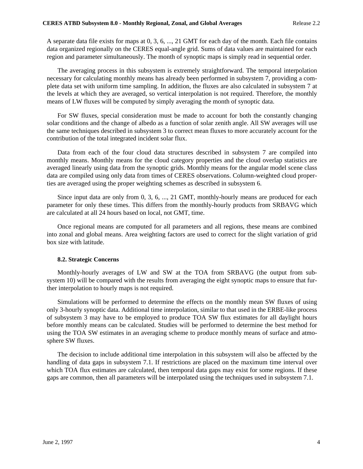A separate data file exists for maps at 0, 3, 6, ..., 21 GMT for each day of the month. Each file contains data organized regionally on the CERES equal-angle grid. Sums of data values are maintained for each region and parameter simultaneously. The month of synoptic maps is simply read in sequential order.

The averaging process in this subsystem is extremely straightforward. The temporal interpolation necessary for calculating monthly means has already been performed in subsystem 7, providing a complete data set with uniform time sampling. In addition, the fluxes are also calculated in subsystem 7 at the levels at which they are averaged, so vertical interpolation is not required. Therefore, the monthly means of LW fluxes will be computed by simply averaging the month of synoptic data.

For SW fluxes, special consideration must be made to account for both the constantly changing solar conditions and the change of albedo as a function of solar zenith angle. All SW averages will use the same techniques described in subsystem 3 to correct mean fluxes to more accurately account for the contribution of the total integrated incident solar flux.

Data from each of the four cloud data structures described in subsystem 7 are compiled into monthly means. Monthly means for the cloud category properties and the cloud overlap statistics are averaged linearly using data from the synoptic grids. Monthly means for the angular model scene class data are compiled using only data from times of CERES observations. Column-weighted cloud properties are averaged using the proper weighting schemes as described in subsystem 6.

Since input data are only from 0, 3, 6, ..., 21 GMT, monthly-hourly means are produced for each parameter for only these times. This differs from the monthly-hourly products from SRBAVG which are calculated at all 24 hours based on local, not GMT, time.

Once regional means are computed for all parameters and all regions, these means are combined into zonal and global means. Area weighting factors are used to correct for the slight variation of grid box size with latitude.

#### **8.2. Strategic Concerns**

Monthly-hourly averages of LW and SW at the TOA from SRBAVG (the output from subsystem 10) will be compared with the results from averaging the eight synoptic maps to ensure that further interpolation to hourly maps is not required.

Simulations will be performed to determine the effects on the monthly mean SW fluxes of using only 3-hourly synoptic data. Additional time interpolation, similar to that used in the ERBE-like process of subsystem 3 may have to be employed to produce TOA SW flux estimates for all daylight hours before monthly means can be calculated. Studies will be performed to determine the best method for using the TOA SW estimates in an averaging scheme to produce monthly means of surface and atmosphere SW fluxes.

The decision to include additional time interpolation in this subsystem will also be affected by the handling of data gaps in subsystem 7.1. If restrictions are placed on the maximum time interval over which TOA flux estimates are calculated, then temporal data gaps may exist for some regions. If these gaps are common, then all parameters will be interpolated using the techniques used in subsystem 7.1.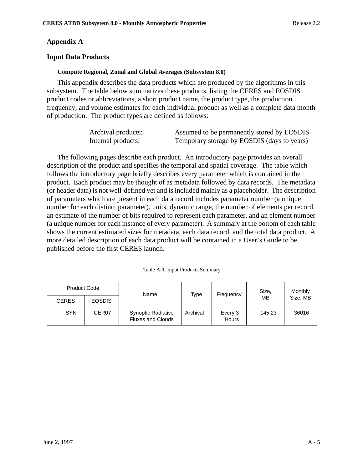### **Appendix A**

### **Input Data Products**

#### **Compute Regional, Zonal and Global Averages (Subsystem 8.0)**

This appendix describes the data products which are produced by the algorithms in this subsystem. The table below summarizes these products, listing the CERES and EOSDIS product codes or abbreviations, a short product name, the product type, the production frequency, and volume estimates for each individual product as well as a complete data month of production. The product types are defined as follows:

| Archival products: | Assumed to be permanently stored by EOSDIS  |
|--------------------|---------------------------------------------|
| Internal products: | Temporary storage by EOSDIS (days to years) |

The following pages describe each product. An introductory page provides an overall description of the product and specifies the temporal and spatial coverage. The table which follows the introductory page briefly describes every parameter which is contained in the product. Each product may be thought of as metadata followed by data records. The metadata (or header data) is not well-defined yet and is included mainly as a placeholder. The description of parameters which are present in each data record includes parameter number (a unique number for each distinct parameter), units, dynamic range, the number of elements per record, an estimate of the number of bits required to represent each parameter, and an element number (a unique number for each instance of every parameter). A summary at the bottom of each table shows the current estimated sizes for metadata, each data record, and the total data product. A more detailed description of each data product will be contained in a User's Guide to be published before the first CERES launch.

|  |  | Table A-1. Input Products Summary |
|--|--|-----------------------------------|
|  |  |                                   |

| <b>Product Code</b> |                   | Name                                                  | Type     | Frequency               | Size.  | Monthly  |  |
|---------------------|-------------------|-------------------------------------------------------|----------|-------------------------|--------|----------|--|
| <b>CERES</b>        | <b>EOSDIS</b>     |                                                       |          |                         | MB     | Size, MB |  |
| <b>SYN</b>          | CER <sub>07</sub> | <b>Synoptic Radiative</b><br><b>Fluxes and Clouds</b> | Archival | Every 3<br><b>Hours</b> | 145.23 | 36016    |  |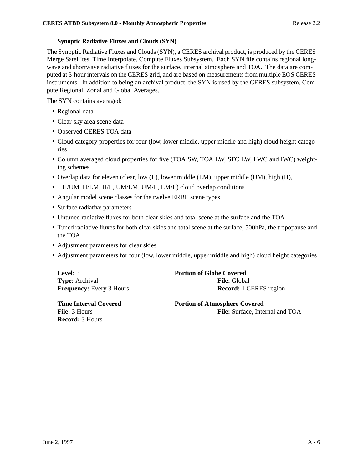### **Synoptic Radiative Fluxes and Clouds (SYN)**

The Synoptic Radiative Fluxes and Clouds (SYN), a CERES archival product, is produced by the CERES Merge Satellites, Time Interpolate, Compute Fluxes Subsystem. Each SYN file contains regional longwave and shortwave radiative fluxes for the surface, internal atmosphere and TOA. The data are computed at 3-hour intervals on the CERES grid, and are based on measurements from multiple EOS CERES instruments. In addition to being an archival product, the SYN is used by the CERES subsystem, Compute Regional, Zonal and Global Averages.

The SYN contains averaged:

- Regional data
- Clear-sky area scene data
- Observed CERES TOA data
- Cloud category properties for four (low, lower middle, upper middle and high) cloud height categories
- Column averaged cloud properties for five (TOA SW, TOA LW, SFC LW, LWC and IWC) weighting schemes
- Overlap data for eleven (clear, low (L), lower middle (LM), upper middle (UM), high (H),
- H/UM, H/LM, H/L, UM/LM, UM/L, LM/L) cloud overlap conditions
- Angular model scene classes for the twelve ERBE scene types
- Surface radiative parameters
- Untuned radiative fluxes for both clear skies and total scene at the surface and the TOA
- Tuned radiative fluxes for both clear skies and total scene at the surface, 500hPa, the tropopause and the TOA
- Adjustment parameters for clear skies
- Adjustment parameters for four (low, lower middle, upper middle and high) cloud height categories

**Type:** Archival **File:** Global

**Level:** 3 **Portion of Globe Covered Frequency:** Every 3 Hours **Record:** 1 CERES region

**Record:** 3 Hours

**Time Interval Covered 2008 Portion of Atmosphere Covered File:** 3 Hours **File:** Surface, Internal and TOA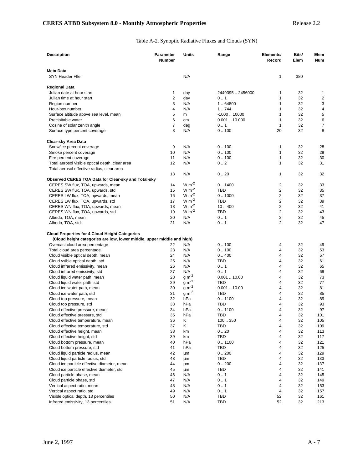#### Table A-2. Synoptic Radiative Fluxes and Clouds (SYN)

| <b>Description</b>                                                                                                              | Parameter<br><b>Number</b> | Units              | Range                | Elements/<br>Record     | Bits/<br>Elem | Elem<br>Num |
|---------------------------------------------------------------------------------------------------------------------------------|----------------------------|--------------------|----------------------|-------------------------|---------------|-------------|
| <b>Meta Data</b><br>SYN Header Flle                                                                                             |                            | N/A                |                      | 1                       | 380           |             |
| <b>Regional Data</b>                                                                                                            |                            |                    |                      |                         |               |             |
| Julian date at hour start                                                                                                       | 1                          | day                | 24493952456000       | 1                       | 32            | 1           |
| Julian time at hour start                                                                                                       | $\overline{2}$             | day                | 0.1                  | 1                       | 32            | 2           |
| Region number                                                                                                                   | 3                          | N/A                | 1.64800              | 1                       | 32            | 3           |
| Hour-box number                                                                                                                 | $\overline{4}$             | N/A                | 1.744                | 1                       | 32            | 4           |
| Surface altitude above sea level, mean                                                                                          | 5                          | m                  | $-100010000$         | $\mathbf{1}$            | 32            | 5           |
| Precipitable water                                                                                                              | 6                          | cm                 | 0.00110.000          | 1                       | 32            | 6           |
| Cosine of solar zenith angle                                                                                                    | $\overline{7}$             | deg                | 0.1                  | $\mathbf{1}$            | 32            | 7           |
| Surface type percent coverage                                                                                                   | 8                          | N/A                | 0.100                | 20                      | 32            | 8           |
| <b>Clear-sky Area Data</b>                                                                                                      |                            |                    |                      |                         |               |             |
| Snow/ice percent coverage                                                                                                       | 9                          | N/A                | 0.100                | 1                       | 32            | 28          |
| Smoke percent coverage                                                                                                          | 10                         | N/A                | 0.100                | 1                       | 32            | 29          |
| Fire percent coverage                                                                                                           | 11                         | N/A                | 0.100                | 1                       | 32            | 30          |
| Total aerosol visible optical depth, clear area<br>Total aerosol effective radius, clear area                                   | 12                         | N/A                | 0.2                  | 1                       | 32            | 31          |
|                                                                                                                                 | 13                         | N/A                | 0.20                 | 1                       | 32            | 32          |
| Observed CERES TOA Data for Clear-sky and Total-sky                                                                             |                            |                    |                      |                         |               |             |
| CERES SW flux, TOA, upwards, mean                                                                                               | 14                         | $W m^{-2}$         | 0.1400               | 2                       | 32            | 33          |
| CERES SW flux, TOA, upwards, std                                                                                                | 15                         | $W m^{-2}$         | <b>TBD</b>           | $\overline{2}$          | 32            | 35          |
| CERES LW flux, TOA, upwards, mean                                                                                               | 16                         | $W m-2$            | 0.1000               | $\overline{2}$          | 32            | 37          |
| CERES LW flux, TOA, upwards, std                                                                                                | 17                         | $W m-2$<br>$W m-2$ | <b>TBD</b>           | $\overline{2}$          | 32            | 39          |
| CERES WN flux, TOA, upwards, mean                                                                                               | 18                         | $W m^{-2}$         | 10.400               | $\overline{\mathbf{c}}$ | 32            | 41          |
| CERES WN flux, TOA, upwards, std                                                                                                | 19                         |                    | <b>TBD</b>           | $\overline{2}$<br>2     | 32            | 43          |
| Albedo, TOA, mean<br>Albedo, TOA, std                                                                                           | 20<br>21                   | N/A<br>N/A         | 0.1<br>0.1           | $\overline{2}$          | 32<br>32      | 45<br>47    |
| <b>Cloud Properties for 4 Cloud Height Categories</b><br>(Cloud height categories are low, lower middle, upper middle and high) |                            |                    |                      |                         |               |             |
| Overcast cloud area percentage                                                                                                  | 22                         | N/A                | 0.100                | 4                       | 32            | 49          |
| Total cloud area percentage                                                                                                     | 23                         | N/A                | 0.100                | 4                       | 32            | 53          |
| Cloud visible optical depth, mean                                                                                               | 24                         | N/A                | 0.400                | 4                       | 32            | 57          |
| Cloud vsible optical depth, std.                                                                                                | 25                         | N/A                | TBD                  | 4                       | 32            | 61          |
| Cloud infrared emissivity, mean                                                                                                 | 26                         | N/A                | 0.1                  | 4                       | 32            | 65          |
| Cloud infrared emissivity, std                                                                                                  | 27                         | N/A                | 0.1                  | 4                       | 32            | 69          |
| Cloud liquid water path, mean                                                                                                   | 28                         | $g m-2$            | 0.00110.00           | 4                       | 32            | 73          |
| Cloud liquid water path, std                                                                                                    | 29                         | $g m-2$            | <b>TBD</b>           | 4                       | 32            | 77          |
| Cloud ice water path, mean                                                                                                      | 30                         | $g m-2$<br>$g m-2$ | 0.00110.00           | 4                       | 32            | 81          |
| Cloud ice water path, std                                                                                                       | 31<br>32                   | hPa                | <b>TBD</b><br>0.1100 | 4<br>4                  | 32<br>32      | 85<br>89    |
| Cloud top pressure, mean                                                                                                        | 33                         | hPa                | <b>TBD</b>           | 4                       | 32            | 93          |
| Cloud top pressure, std<br>Cloud effective pressure, mean                                                                       | 34                         | hPa                | 0.1100               | 4                       | 32            | 97          |
| Cloud effective pressure, std                                                                                                   | 35                         | hPa                | <b>TBD</b>           | 4                       | 32            | 101         |
| Cloud effective temperature, mean                                                                                               | 36                         | Κ                  | 100350               | 4                       | 32            | 105         |
| Cloud effective temperature, std                                                                                                | 37                         | Κ                  | TBD                  | 4                       | 32            | 109         |
| Cloud effective height, mean                                                                                                    | 38                         | km                 | 0.20                 | 4                       | 32            | 113         |
| Cloud effective height, std                                                                                                     | 39                         | km                 | TBD                  | 4                       | 32            | 117         |
| Cloud bottom pressure, mean                                                                                                     | 40                         | hPa                | 0.1100               | 4                       | 32            | 121         |
| Cloud bottom pressure, std                                                                                                      | 41                         | hPa                | TBD                  | 4                       | 32            | 125         |
| Cloud liquid particle radius, mean                                                                                              | 42                         | μm                 | 0.200                | 4                       | 32            | 129         |
| Cloud liquid particle radius, std                                                                                               | 43                         | μm                 | TBD                  | 4                       | 32            | 133         |
| Cloud ice particle effective diameter, mean                                                                                     | 44                         | μm                 | 0.200                | 4                       | 32            | 137         |
| Cloud ice particle effective diameter, std.                                                                                     | 45                         | μm                 | TBD                  | 4                       | 32            | 141         |
| Cloud particle phase, mean                                                                                                      | 46                         | N/A                | 0.1                  | 4                       | 32            | 145         |
| Cloud particle phase, std                                                                                                       | 47                         | N/A                | 0.1                  | 4                       | 32            | 149         |
| Vertical aspect ratio, mean                                                                                                     | 48                         | N/A                | 0.1                  | 4                       | 32            | 153         |
| Vertical aspect ratio, std                                                                                                      | 49                         | N/A                | 0.1                  | 4                       | 32            | 157         |
| Visible optical depth, 13 percentiles                                                                                           | 50                         | N/A                | TBD                  | 52                      | 32            | 161         |
| Infrared emissivity, 13 percentiles                                                                                             | 51                         | N/A                | TBD                  | 52                      | 32            | 213         |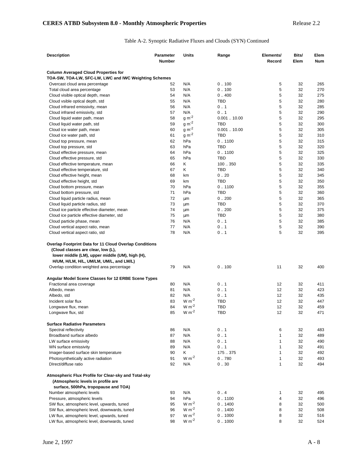#### Table A-2. Synoptic Radiative Fluxes and Clouds (SYN) Continued

| <b>Description</b>                                            | <b>Parameter</b> | Units              | Range      | Elements/    | Bits/    | Elem       |
|---------------------------------------------------------------|------------------|--------------------|------------|--------------|----------|------------|
|                                                               | Number           |                    |            | Record       | Elem     | <b>Num</b> |
| <b>Column Averaged Cloud Properties for</b>                   |                  |                    |            |              |          |            |
| TOA-SW, TOA-LW, SFC-LW, LWC and IWC Weighting Schemes         |                  |                    |            |              |          |            |
| Overcast cloud area percentage                                | 52               | N/A                | 0.100      | 5            | 32       | 265        |
| Total cloud area percentage                                   | 53               | N/A                | 0.100      | 5            | 32       | 270        |
| Cloud visible optical depth, mean                             | 54               | N/A                | 0.400      | 5            | 32       | 275        |
| Cloud vsible optical depth, std                               | 55               | N/A                | <b>TBD</b> | 5            | 32       | 280        |
| Cloud infrared emissivity, mean                               | 56<br>57         | N/A<br>N/A         | 0.1<br>0.1 | 5<br>5       | 32<br>32 | 285<br>290 |
| Cloud infrared emissivity, std                                | 58               | $g m-2$            | 0.00110.00 | 5            | 32       | 295        |
| Cloud liquid water path, mean                                 | 59               | $g m-2$            | <b>TBD</b> | 5            | 32       | 300        |
| Cloud liquid water path, std                                  | 60               | $g m-2$            | 0.00110.00 | 5            | 32       | 305        |
| Cloud ice water path, mean<br>Cloud ice water path, std       | 61               | $g m-2$            | <b>TBD</b> | 5            | 32       | 310        |
| Cloud top pressure, mean                                      | 62               | hPa                | 0.1100     | 5            | 32       | 315        |
| Cloud top pressure, std                                       | 63               | hPa                | <b>TBD</b> | 5            | 32       | 320        |
| Cloud effective pressure, mean                                | 64               | hPa                | 0.1100     | 5            | 32       | 325        |
| Cloud effective pressure, std                                 | 65               | hPa                | <b>TBD</b> | 5            | 32       | 330        |
| Cloud effective temperature, mean                             | 66               | Κ                  | 100350     | 5            | 32       | 335        |
| Cloud effective temperature, std                              | 67               | Κ                  | TBD        | 5            | 32       | 340        |
| Cloud effective height, mean                                  | 68               | km                 | 0.20       | 5            | 32       | 345        |
| Cloud effective height, std                                   | 69               | km                 | <b>TBD</b> | 5            | 32       | 350        |
| Cloud bottom pressure, mean                                   | 70               | hPa                | 0.1100     | 5            | 32       | 355        |
| Cloud bottom pressure, std                                    | 71               | hPa                | <b>TBD</b> | 5            | 32       | 360        |
| Cloud liquid particle radius, mean                            | 72               | μm                 | 0.200      | 5            | 32       | 365        |
| Cloud liquid particle radius, std                             | 73               | μm                 | <b>TBD</b> | 5            | 32       | 370        |
| Cloud ice particle effective diameter, mean                   | 74               | μm                 | 0.200      | 5            | 32       | 375        |
| Cloud ice particle effective diameter, std                    | 75               | μm                 | TBD        | 5            | 32       | 380        |
| Cloud particle phase, mean                                    | 76               | N/A                | 0.1        | 5            | 32       | 385        |
| Cloud vertical aspect ratio, mean                             | 77               | N/A                | 0.1        | 5            | 32       | 390        |
| Cloud vertical aspect ratio, std                              | 78               | N/A                | 0.1        | 5            | 32       | 395        |
| <b>Overlap Footprint Data for 11 Cloud Overlap Conditions</b> |                  |                    |            |              |          |            |
| (Cloud classes are clear, low (L),                            |                  |                    |            |              |          |            |
| lower middle (LM), upper middle (UM), high (H),               |                  |                    |            |              |          |            |
| H/UM, H/LM, H/L, UM/LM, UM/L, and LM/L)                       |                  |                    |            |              |          |            |
| Overlap condition weighted area percentage                    | 79               | N/A                | 0.100      | 11           | 32       | 400        |
|                                                               |                  |                    |            |              |          |            |
| Angular Model Scene Classes for 12 ERBE Scene Types           |                  |                    |            |              |          |            |
| Fractional area coverage                                      | 80               | N/A                | 0.1        | 12           | 32       | 411        |
| Albedo, mean                                                  | 81               | N/A                | 0.1        | 12           | 32       | 423        |
| Albedo, std                                                   | 82               | N/A                | 0.1        | 12           | 32       | 435        |
| Incident solar flux                                           | 83               | $W m-2$            | TBD        | 12           | 32       | 447        |
| Longwave flux, mean                                           | 84               | $W m-2$            | <b>TBD</b> | 12           | 32       | 459        |
| Longwave flux, std                                            | 85               | $W m-2$            | <b>TBD</b> | 12           | 32       | 471        |
| <b>Surface Radiative Parameters</b>                           |                  |                    |            |              |          |            |
| Spectral reflectivity                                         | 86               | N/A                | 0.1        | 6            | 32       | 483        |
| Broadband surface albedo                                      | 87               | N/A                | 0.1        | $\mathbf{1}$ | 32       | 489        |
| LW surface emissivity                                         | 88               | N/A                | 0.1        | 1            | 32       | 490        |
| WN surface emissivity                                         | 89               | N/A                | 0.1        | 1            | 32       | 491        |
| Imager-based surface skin temperature                         | 90               | Κ                  | 175.375    | $\mathbf{1}$ | 32       | 492        |
| Photosynthetically active radiation                           | 91               | $W m-2$            | 0.780      | $\mathbf{1}$ | 32       | 493        |
| DIrect/diffuse ratio                                          | 92               | N/A                | 0.30       | $\mathbf{1}$ | 32       | 494        |
|                                                               |                  |                    |            |              |          |            |
| Atmospheric Flux Profile for Clear-sky and Total-sky          |                  |                    |            |              |          |            |
| (Atmospheric levels in profile are                            |                  |                    |            |              |          |            |
| surface, 500hPa, tropopause and TOA)                          |                  |                    |            |              |          |            |
| Number atmospheric levels                                     | 93               | N/A                | 0.4        | 1            | 32       | 495        |
| Pressure, atmospheric levels                                  | 94               | hPa                | 0.1100     | 4            | 32       | 496        |
| SW flux, atmospheric level, upwards, tuned                    | 95               | $W m^{-2}$         | 0.1400     | 8            | 32       | 500        |
| SW flux, atmospheric level, downwards, tuned                  | 96               | $W m-2$<br>$W m-2$ | 0.1400     | 8            | 32       | 508        |
| LW flux, atmospheric level, upwards, tuned                    | 97<br>98         | $W m-2$            | 0.1000     | 8<br>8       | 32       | 516        |
| LW flux, atmospheric level, downwards, tuned                  |                  |                    | 0.1000     |              | 32       | 524        |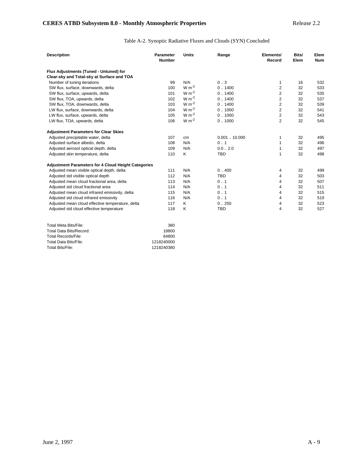## Table A-2. Synoptic Radiative Fluxes and Clouds (SYN) Concluded

| <b>Description</b>                                         | Parameter<br><b>Number</b> | <b>Units</b> | Range       | Elements/<br>Record | Bits/<br>Elem | Elem<br><b>Num</b> |
|------------------------------------------------------------|----------------------------|--------------|-------------|---------------------|---------------|--------------------|
| Flux Adjustments (Tuned - Untuned) for                     |                            |              |             |                     |               |                    |
| Clear-sky and Total-sky at Surface and TOA                 |                            |              |             |                     |               |                    |
| Number of tuning iterations                                | 99                         | N/A          | 0.3         | 1                   | 16            | 532                |
| SW flux, surface, downwards, delta                         | 100                        | $W m-2$      | 0.1400      | $\overline{2}$      | 32            | 533                |
| SW flux, surface, upwards, delta                           | 101                        | $W m-2$      | 0.1400      | $\mathbf{2}$        | 32            | 535                |
| SW flux, TOA, upwards, delta                               | 102                        | $W m-2$      | 0.1400      | $\overline{2}$      | 32            | 537                |
| SW flux, TOA, downwards, delta                             | 103                        | $W m-2$      | 0.1400      | $\overline{2}$      | 32            | 539                |
| LW flux, surface, downwards, delta                         | 104                        | $W m^{-2}$   | 0.1000      | $\overline{2}$      | 32            | 541                |
| LW flux, surface, upwards, delta                           | 105                        | $W m-2$      | 0.1000      | $\overline{2}$      | 32            | 543                |
| LW flux, TOA, upwards, delta                               | 106                        | $W m-2$      | 0.1000      | $\overline{2}$      | 32            | 545                |
| <b>Adjustment Parameters for Clear Skies</b>               |                            |              |             |                     |               |                    |
| Adjusted precipitable water, delta                         | 107                        | cm           | 0.00110.000 | 1                   | 32            | 495                |
| Adjusted surface albedo, delta                             | 108                        | N/A          | 0.1         | 1                   | 32            | 496                |
| Adjusted aerosol optical depth, delta                      | 109                        | N/A          | 0.02.0      | 1                   | 32            | 497                |
| Adjusted skin temperature, delta                           | 110                        | K            | <b>TBD</b>  | 1                   | 32            | 498                |
| <b>Adjustment Parameters for 4 Cloud Height Categories</b> |                            |              |             |                     |               |                    |
| Adjusted mean visible optical depth, delta                 | 111                        | N/A          | 0.400       | 4                   | 32            | 499                |
| Adjusted std visible optical depth                         | 112                        | N/A          | <b>TBD</b>  | 4                   | 32            | 503                |
| Adjusted mean cloud fractional area, delta                 | 113                        | N/A          | 0.1         | 4                   | 32            | 507                |
| Adjusted std cloud fractional area                         | 114                        | N/A          | 0.1         | 4                   | 32            | 511                |
| Adjusted mean cloud infrared emissivity, delta             | 115                        | N/A          | 0.1         | 4                   | 32            | 515                |
| Adjusted std cloud infrared emissivity                     | 116                        | N/A          | 0.1         | 4                   | 32            | 519                |
| Adjusted mean cloud effective temperature, delta           | 117                        | K            | 0.250       | 4                   | 32            | 523                |
| Adjusted std cloud effective temperature                   | 118                        | Κ            | <b>TBD</b>  | $\overline{4}$      | 32            | 527                |
| ™otal Meta Rits/File                                       | 380                        |              |             |                     |               |                    |

| Total Meta Bits/File:   | 380        |
|-------------------------|------------|
| Total Data Bits/Record: | 18800      |
| Total Records/File:     | 64800      |
| Total Data Bits/File:   | 1218240000 |
| Total Bits/File:        | 1218240380 |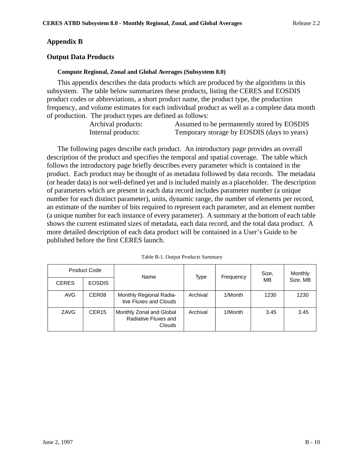### **Appendix B**

### **Output Data Products**

#### **Compute Regional, Zonal and Global Averages (Subsystem 8.0)**

This appendix describes the data products which are produced by the algorithms in this subsystem. The table below summarizes these products, listing the CERES and EOSDIS product codes or abbreviations, a short product name, the product type, the production frequency, and volume estimates for each individual product as well as a complete data month of production. The product types are defined as follows:

| Archival products: | Assumed to be permanently stored by EOSDIS  |
|--------------------|---------------------------------------------|
| Internal products: | Temporary storage by EOSDIS (days to years) |

The following pages describe each product. An introductory page provides an overall description of the product and specifies the temporal and spatial coverage. The table which follows the introductory page briefly describes every parameter which is contained in the product. Each product may be thought of as metadata followed by data records. The metadata (or header data) is not well-defined yet and is included mainly as a placeholder. The description of parameters which are present in each data record includes parameter number (a unique number for each distinct parameter), units, dynamic range, the number of elements per record, an estimate of the number of bits required to represent each parameter, and an element number (a unique number for each instance of every parameter). A summary at the bottom of each table shows the current estimated sizes of metadata, each data record, and the total data product. A more detailed description of each data product will be contained in a User's Guide to be published before the first CERES launch.

|              | <b>Product Code</b> | Name                                                       | Type     | Frequency | Size, | Monthly  |  |
|--------------|---------------------|------------------------------------------------------------|----------|-----------|-------|----------|--|
| <b>CERES</b> | <b>EOSDIS</b>       |                                                            |          |           | MВ    | Size, MB |  |
| <b>AVG</b>   | CER <sub>08</sub>   | Monthly Regional Radia-<br>tive Fluxes and Clouds          | Archival | 1/Month   | 1230  | 1230     |  |
| ZAVG         | CER <sub>15</sub>   | Monthly Zonal and Global<br>Radiative Fluxes and<br>Clouds | Archival | 1/Month   | 3.45  | 3.45     |  |

|  |  | Table B-1. Output Products Summary |
|--|--|------------------------------------|
|  |  |                                    |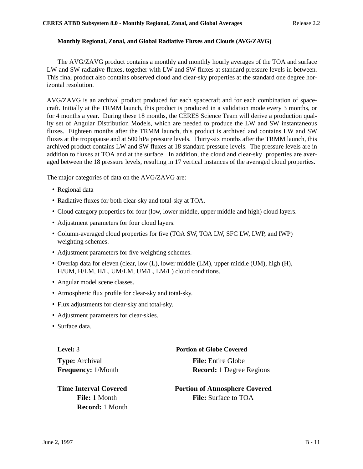#### **Monthly Regional, Zonal, and Global Radiative Fluxes and Clouds (AVG/ZAVG)**

The AVG/ZAVG product contains a monthly and monthly hourly averages of the TOA and surface LW and SW radiative fluxes, together with LW and SW fluxes at standard pressure levels in between. This final product also contains observed cloud and clear-sky properties at the standard one degree horizontal resolution.

AVG/ZAVG is an archival product produced for each spacecraft and for each combination of spacecraft. Initially at the TRMM launch, this product is produced in a validation mode every 3 months, or for 4 months a year. During these 18 months, the CERES Science Team will derive a production quality set of Angular Distribution Models, which are needed to produce the LW and SW instantaneous fluxes. Eighteen months after the TRMM launch, this product is archived and contains LW and SW fluxes at the tropopause and at 500 hPa pressure levels. Thirty-six months after the TRMM launch, this archived product contains LW and SW fluxes at 18 standard pressure levels. The pressure levels are in addition to fluxes at TOA and at the surface. In addition, the cloud and clear-sky properties are averaged between the 18 pressure levels, resulting in 17 vertical instances of the averaged cloud properties.

The major categories of data on the AVG/ZAVG are:

- Regional data
- Radiative fluxes for both clear-sky and total-sky at TOA.
- Cloud category properties for four (low, lower middle, upper middle and high) cloud layers.
- Adjustment parameters for four cloud layers.
- Column-averaged cloud properties for five (TOA SW, TOA LW, SFC LW, LWP, and IWP) weighting schemes.
- Adjustment parameters for five weighting schemes.
- Overlap data for eleven (clear, low (L), lower middle (LM), upper middle (UM), high (H), H/UM, H/LM, H/L, UM/LM, UM/L, LM/L) cloud conditions.
- Angular model scene classes.
- Atmospheric flux profile for clear-sky and total-sky.
- Flux adjustments for clear-sky and total-sky.
- Adjustment parameters for clear-skies.
- Surface data.

**Type:** Archival **File:** Entire Globe

 **Record:** 1 Month

### **Level:** 3 **Portion of Globe Covered**

**Frequency:** 1/Month **Record:** 1 Degree Regions

**Time Interval Covered Portion of Atmosphere Covered File:** 1 Month **File:** Surface to TOA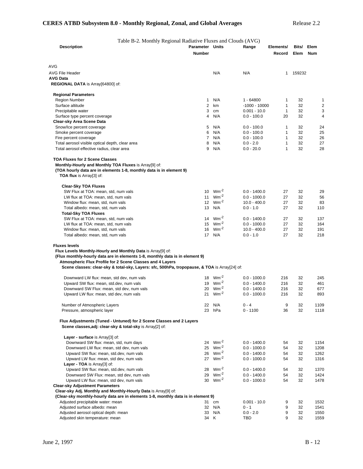Table B-2. Monthly Regional Radiative Fluxes and Clouds (AVG)

| <b>Description</b>                                                                                                                                                                                                                                                                                                                | <b>Parameter Units</b><br><b>Number</b> |                        | Range                            | Elements/<br>Record | Bits/<br>Elem | Elem<br><b>Num</b> |
|-----------------------------------------------------------------------------------------------------------------------------------------------------------------------------------------------------------------------------------------------------------------------------------------------------------------------------------|-----------------------------------------|------------------------|----------------------------------|---------------------|---------------|--------------------|
| AVG                                                                                                                                                                                                                                                                                                                               |                                         |                        |                                  |                     |               |                    |
| <b>AVG File Header</b>                                                                                                                                                                                                                                                                                                            |                                         | N/A                    | N/A                              | $\mathbf{1}$        | 159232        |                    |
| <b>AVG Data</b>                                                                                                                                                                                                                                                                                                                   |                                         |                        |                                  |                     |               |                    |
| REGIONAL DATA is Array[64800] of:                                                                                                                                                                                                                                                                                                 |                                         |                        |                                  |                     |               |                    |
| <b>Regional Parameters</b>                                                                                                                                                                                                                                                                                                        |                                         |                        |                                  |                     |               |                    |
| Region Number                                                                                                                                                                                                                                                                                                                     | 1                                       | N/A                    | 1 - 64800                        | 1                   | 32            | 1                  |
| Surface altitude                                                                                                                                                                                                                                                                                                                  | 2                                       | km                     | $-1000 - 10000$                  | $\mathbf{1}$        | 32            | $\overline{c}$     |
| Precipitable water                                                                                                                                                                                                                                                                                                                | 3                                       | cm                     | $0.001 - 10.0$                   | $\mathbf{1}$        | 32            | 3                  |
| Surface type percent coverage                                                                                                                                                                                                                                                                                                     | 4                                       | N/A                    | $0.0 - 100.0$                    | 20                  | 32            | 4                  |
| Clear-sky Area Scene Data                                                                                                                                                                                                                                                                                                         |                                         |                        |                                  |                     |               |                    |
| Snow/Ice percent coverage                                                                                                                                                                                                                                                                                                         | 5<br>6                                  | N/A<br>N/A             | $0.0 - 100.0$<br>$0.0 - 100.0$   | $\mathbf{1}$<br>1   | 32<br>32      | 24<br>25           |
| Smoke percent coverage<br>Fire percent coverage                                                                                                                                                                                                                                                                                   | $7^{\circ}$                             | N/A                    | $0.0 - 100.0$                    | $\mathbf{1}$        | 32            | 26                 |
| Total aerosol visible optical depth, clear area                                                                                                                                                                                                                                                                                   | 8                                       | N/A                    | $0.0 - 2.0$                      | $\mathbf{1}$        | 32            | 27                 |
| Total aerosol effective radius, clear area                                                                                                                                                                                                                                                                                        | 9                                       | N/A                    | $0.0 - 20.0$                     | $\mathbf{1}$        | 32            | 28                 |
| <b>TOA Fluxes for 2 Scene Classes</b><br>Monthly-Hourly and Monthly TOA Fluxes is Array[9] of:<br>(TOA hourly data are in elements 1-8, monthly data is in element 9)<br><b>TOA flux</b> is Array[3] of:                                                                                                                          |                                         |                        |                                  |                     |               |                    |
| <b>Clear-Sky TOA Fluxes</b>                                                                                                                                                                                                                                                                                                       |                                         |                        |                                  |                     |               |                    |
| SW Flux at TOA: mean, std, num vals                                                                                                                                                                                                                                                                                               | 10 <sup>1</sup>                         | $Wm^{-2}$              | $0.0 - 1400.0$                   | 27                  | 32            | 29                 |
| LW flux at TOA: mean, std, num vals                                                                                                                                                                                                                                                                                               | 11                                      | $Wm^{-2}$              | $0.0 - 1000.0$                   | 27                  | 32            | 56                 |
| Window flux: mean, std, num vals                                                                                                                                                                                                                                                                                                  | 12 <sup>°</sup>                         | $Wm^{-2}$              | $10.0 - 400.0$                   | 27                  | 32            | 83                 |
| Total albedo: mean, std, num vals                                                                                                                                                                                                                                                                                                 | 13                                      | N/A                    | $0.0 - 1.0$                      | 27                  | 32            | 110                |
| Total-Sky TOA Fluxes                                                                                                                                                                                                                                                                                                              |                                         | 14 $Wm^{-2}$           |                                  | 27                  |               |                    |
| SW Flux at TOA: mean, std, num vals<br>LW flux at TOA: mean, std, num vals                                                                                                                                                                                                                                                        | 15                                      | $Wm^{-2}$              | $0.0 - 1400.0$<br>$0.0 - 1000.0$ | 27                  | 32<br>32      | 137<br>164         |
| Window flux: mean, std, num vals                                                                                                                                                                                                                                                                                                  | 16                                      | $Wm^{-2}$              | $10.0 - 400.0$                   | 27                  | 32            | 191                |
| Total albedo: mean, std, num vals                                                                                                                                                                                                                                                                                                 |                                         | 17 N/A                 | $0.0 - 1.0$                      | 27                  | 32            | 218                |
| <b>Fluxes levels</b><br>Flux Levels Monthly-Hourly and Monthly Data is Array[9] of:<br>(Flux monthly-hourly data are in elements 1-8, monthly data is in element 9)<br>Atmospheric Flux Profile for 2 Scene Classes and 4 Layers<br>Scene classes: clear-sky & total-sky, Layers: sfc, 500hPa, tropopause, & TOA is Array[24] of: |                                         |                        |                                  |                     |               |                    |
| Downward LW flux: mean, std dev, num vals                                                                                                                                                                                                                                                                                         | 18                                      | $Wm^{-2}$              | $0.0 - 1000.0$                   | 216                 | 32            | 245                |
| Upward SW flux: mean, std.dev, num vals                                                                                                                                                                                                                                                                                           | 19                                      | $Wm^{-2}$              | $0.0 - 1400.0$                   | 216                 | 32            | 461                |
| Downward SW Flux: mean, std dev, num vals                                                                                                                                                                                                                                                                                         | 20                                      | $Wm^{-2}$              | $0.0 - 1400.0$                   | 216                 | 32            | 677                |
| Upward LW flux: mean, std dev, num vals                                                                                                                                                                                                                                                                                           | 21                                      | $Wm^{-2}$              | $0.0 - 1000.0$                   | 216                 | 32            | 893                |
| Number of Atmospheric Layers                                                                                                                                                                                                                                                                                                      | 22                                      | N/A                    | $0 - 4$                          | 9                   | 32            | 1109               |
| Pressure, atmospheric layer                                                                                                                                                                                                                                                                                                       |                                         | 23 hPa                 | $0 - 1100$                       | 36                  | 32            | 1118               |
| Flux Adjustments (Tuned - Untuned) for 2 Scene Classes and 2 Layers<br>Scene classes, adj: clear-sky & total-sky is Array[2] of:                                                                                                                                                                                                  |                                         |                        |                                  |                     |               |                    |
| Layer - surface is Array[3] of:                                                                                                                                                                                                                                                                                                   |                                         |                        |                                  |                     |               |                    |
| Downward SW flux: mean, std, num days                                                                                                                                                                                                                                                                                             | 24<br>25                                | $Wm^{-2}$<br>$Wm^{-2}$ | $0.0 - 1400.0$                   | 54                  | 32            | 1154               |
| Downward LW flux: mean, std dev, num vals<br>Upward SW flux: mean, std.dev, num vals                                                                                                                                                                                                                                              | 26                                      | $Wm^{-2}$              | $0.0 - 1000.0$<br>$0.0 - 1400.0$ | 54<br>54            | 32<br>32      | 1208<br>1262       |
| Upward LW flux: mean, std dev, num vals                                                                                                                                                                                                                                                                                           | 27                                      | $Wm^{-2}$              | $0.0 - 1000.0$                   | 54                  | 32            | 1316               |
| Layer - TOA is Array[3] of:                                                                                                                                                                                                                                                                                                       |                                         |                        |                                  |                     |               |                    |
| Upward SW flux: mean, std.dev, num vals                                                                                                                                                                                                                                                                                           | 28                                      | $Wm^{-2}$              | $0.0 - 1400.0$                   | 54                  | 32            | 1370               |
| Downward SW Flux: mean, std dev, num vals                                                                                                                                                                                                                                                                                         | 29                                      | $Wm^{-2}$              | $0.0 - 1400.0$                   | 54                  | 32            | 1424               |
| Upward LW flux: mean, std dev, num vals                                                                                                                                                                                                                                                                                           | 30                                      | $Wm^{-2}$              | $0.0 - 1000.0$                   | 54                  | 32            | 1478               |
| <b>Clear-sky Adjustment Parameters</b>                                                                                                                                                                                                                                                                                            |                                         |                        |                                  |                     |               |                    |
| Clear-sky Adj. Monthly and Monthly-Hourly Data is Array[9] of:                                                                                                                                                                                                                                                                    |                                         |                        |                                  |                     |               |                    |
| (Clear-sky monthly-hourly data are in elements 1-8, monthly data is in element 9)                                                                                                                                                                                                                                                 |                                         |                        |                                  |                     |               |                    |
| Adjusted precipitable water: mean                                                                                                                                                                                                                                                                                                 | 31                                      | cm                     | $0.001 - 10.0$                   | 9                   | 32            | 1532               |
| Adjusted surface albedo: mean                                                                                                                                                                                                                                                                                                     |                                         | 32 N/A                 | $0 - 1$                          | 9                   | 32            | 1541               |
| Adjusted aerosol optical depth: mean                                                                                                                                                                                                                                                                                              |                                         | 33 N/A                 | $0.0 - 2.0$                      | 9<br>9              | 32            | 1550               |
| Adjusted skin temperature: mean                                                                                                                                                                                                                                                                                                   | 34 K                                    |                        | TBD                              |                     | 32            | 1559               |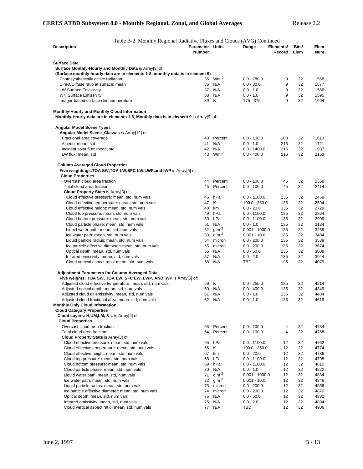| Table B-2. Monthly Regional Radiative Fluxes and Clouds (AVG) Continued                                                               |                                  |                   |                               |                     |               |                    |
|---------------------------------------------------------------------------------------------------------------------------------------|----------------------------------|-------------------|-------------------------------|---------------------|---------------|--------------------|
| <b>Description</b>                                                                                                                    | Parameter Units<br><b>Number</b> |                   | Range                         | Elements/<br>Record | Bits/<br>Elem | Elem<br><b>Num</b> |
| Surface Data                                                                                                                          |                                  |                   |                               |                     |               |                    |
| Surface Monthly-Hourly and Monthly Data is Array[9] of:                                                                               |                                  |                   |                               |                     |               |                    |
| (Surface monthly-hourly data are in elements 1-8, monthly data is in element 9)                                                       |                                  |                   |                               |                     |               |                    |
| Photosynthetically active radiation                                                                                                   | 35                               | $Wm^{-2}$         | $0.0 - 780.0$                 | 9                   | 32            | 1568               |
| Direct/Diffuse ratio at surface: mean                                                                                                 | 36                               | N/A               | $0.0 - 30.0$                  | 9                   | 32            | 1577               |
| <b>LW Surface Emissivity</b>                                                                                                          | 37                               | N/A               | $0.0 - 1.0$                   | 9                   | 32            | 1586               |
| <b>WN Surface Emissivity</b>                                                                                                          | 38                               | N/A               | $0.0 - 1.0$                   | 9                   | 32            | 1595               |
| Imager-based surface skin temperature                                                                                                 | 39                               | Κ                 | 175 - 375                     | 9                   | 32            | 1604               |
| Monthly-Hourly and Monthly Cloud Information<br>Monthly-Hourly data are in elements 1-8, Monthly data is in element 9 is Array[9] of: |                                  |                   |                               |                     |               |                    |
| <b>Angular Model Scene Types</b>                                                                                                      |                                  |                   |                               |                     |               |                    |
| Angular Model Scene_Classes is Array[12] of:                                                                                          |                                  |                   |                               |                     |               |                    |
| Fractional area coverage                                                                                                              | 40                               | Percent           | $0.0 - 100.0$                 | 108                 | 32            | 1613               |
| Albedo: mean, std                                                                                                                     | 41                               | N/A               | $0.0 - 1.0$                   | 216                 | 32            | 1721               |
| Incident solar flux: mean, std                                                                                                        | 42                               | N/A               | $0.0 - 1400.0$                | 216                 | 32            | 1937               |
| LW flux: mean, std                                                                                                                    | 43                               | $Wm^{-2}$         | $0.0 - 400.0$                 | 216                 | 32            | 2153               |
| <b>Column Averaged Cloud Properties</b><br>Five weightings: TOA SW, TOA LW, SFC LW, LWP, and IWP is Array[5] of:                      |                                  |                   |                               |                     |               |                    |
| <b>Cloud Properties</b><br>Overcast cloud area fraction                                                                               | 44                               | Percent           | $0.0 - 100.0$                 | 45                  | 32            | 2369               |
| Total cloud area fraction                                                                                                             | 45                               | Percent           | $0.0 - 100.0$                 | 45                  | 32            | 2414               |
| Cloud Property Stats is Array[3] of:                                                                                                  |                                  |                   |                               |                     |               |                    |
| Cloud effective pressure: mean, std, num vals                                                                                         | 46                               | hPa               | $0.0 - 1100.0$                | 135                 | 32            | 2459               |
| Cloud effective temperature: mean, std, num vals                                                                                      | 47                               | Κ                 | $100.0 - 350.0$               | 135                 | 32            | 2594               |
| Cloud effective height: mean, std, num vals                                                                                           | 48                               | km                | $0.0 - 20.0$                  | 135                 | 32            | 2729               |
| Cloud top pressure: mean, std, num vals                                                                                               | 49                               | hPa               | $0.0 - 1100.0$                | 135                 | 32            | 2864               |
| Cloud bottom pressure: mean, std, num vals                                                                                            | 50                               | hPa               | $0.0 - 1100.0$                | 135                 | 32            | 2999               |
| Cloud particle phase: mean, std, num vals                                                                                             | 51                               | N/A               | $0.0 - 1.0$                   | 135                 | 32            | 3134               |
| Liquid water path: mean, std, num vals                                                                                                | 52                               | $q m-2$           | $0.001 - 1000.0$              | 135                 | 32            | 3269               |
| Ice water path: mean, std, num vals                                                                                                   | 53                               | g m <sup>-2</sup> | $0.001 - 10.0$                | 135                 | 32            | 3404               |
| Liquid particle radius: mean, std, num vals                                                                                           | 54                               | micron            | $0.0 - 200.0$                 | 135                 | 32            | 3539               |
| Ice particle effective diameter: mean, std, num vals                                                                                  | 55                               | micron            | $0.0 - 200.0$                 | 135                 | 32            | 3674               |
| Optical depth: mean, std, num vals                                                                                                    | 56                               | N/A               | $0.0 - 50.0$                  | 135                 | 32            | 3809               |
| Infrared emissivity: mean, std, num vals                                                                                              | 57                               | N/A               | $0.0 - 2.0$                   | 135                 | 32            | 3944               |
| Cloud vertical aspect ratio: mean, std, num vals                                                                                      | 58                               | N/A               | TBD                           | 135                 | 32            | 4079               |
| <b>Adjustment Parameters for Column Averaged Data</b><br>Five weights: TOA SW, TOA LW, SFC LW, LWP, AND IWP is Array[5] of:           |                                  |                   |                               |                     |               |                    |
| Adjusted cloud effective temperature: mean, std, num vals                                                                             | 59                               | Κ                 | $0.0 - 250.0$                 | 135                 | 32            | 4214               |
| Adjusted optical depth: mean, std, num vals                                                                                           | 60                               | N/A               | $0.0 - 400.0$                 | 135                 | 32            | 4349               |
| Adjusted cloud IR emissivity: mean, std, num vals                                                                                     | 61                               | N/A               | $0.0 - 1.0$                   | 135                 | 32            | 4484               |
| Adjusted cloud fractional area: mean, std, num vals                                                                                   | 62                               | N/A               | $0.0 - 1.0$                   | 135                 | 32            | 4619               |
| <b>Monthly Only Cloud Information</b><br><b>Cloud Category Properties</b>                                                             |                                  |                   |                               |                     |               |                    |
| Cloud Layers: H, UM, LM, & L is Array[4] of:                                                                                          |                                  |                   |                               |                     |               |                    |
| <b>Cloud Properties</b>                                                                                                               |                                  |                   |                               |                     |               |                    |
| Overcast cloud area fraction                                                                                                          | 63                               | Percent           | $0.0 - 100.0$                 | 4                   | 32            | 4754               |
| Total cloud area fraction                                                                                                             | 64                               | Percent           | $0.0 - 100.0$                 | 4                   | 32            | 4758               |
| Cloud Property Stats is Array[3] of:                                                                                                  |                                  |                   |                               |                     |               |                    |
| Cloud effective pressure: mean, std, num vals                                                                                         | 65                               | hPa               | $0.0 - 1100.0$                | 12                  | 32            | 4762               |
| Cloud effective temperature: mean, std, num vals                                                                                      | 66                               | Κ                 | $100.0 - 350.0$               | 12                  | 32            | 4774               |
| Cloud effective height: mean, std, num vals                                                                                           | 67<br>68                         | km<br>hPa         | $0.0 - 20.0$                  | 12<br>12            | 32<br>32      | 4786<br>4798       |
| Cloud top pressure: mean, std, num vals                                                                                               |                                  | hPa               | $0.0 - 1100.0$                |                     |               |                    |
| Cloud bottom pressure: mean, std, num vals<br>Cloud particle phase: mean, std, num vals                                               | 69<br>70                         | N/A               | $0.0 - 1100.0$<br>$0.0 - 1.0$ | 12<br>12            | 32<br>32      | 4810<br>4822       |
| Liquid water path: mean, std, num vals                                                                                                | 71                               | $g m-2$           | $0.001 - 1000.0$              | 12                  | 32            | 4834               |
| Ice water path: mean, std, num vals                                                                                                   | 72                               | $g m-2$           | $0.001 - 10.0$                | 12                  | 32            | 4846               |
| Liquid particle radius: mean, std, num vals                                                                                           | 73                               | micron            | $0.0 - 200.0$                 | 12                  | 32            | 4858               |
| Ice particle effective diameter: mean, std, num vals                                                                                  | 74                               | micron            | $0.0 - 200.0$                 | 12                  | 32            | 4870               |
| Optical depth: mean, std, num vals                                                                                                    | 75                               | N/A               | $0.0 - 50.0$                  | 12                  | 32            | 4882               |
| Infrared emissivity: mean, std, num vals                                                                                              | 76                               | N/A               | $0.0 - 2.0$                   | 12                  | 32            | 4894               |
| Cloud vertical aspect ratio: mean, std, num vals                                                                                      |                                  | 77 N/A            | TBD                           | 12                  | 32            | 4906               |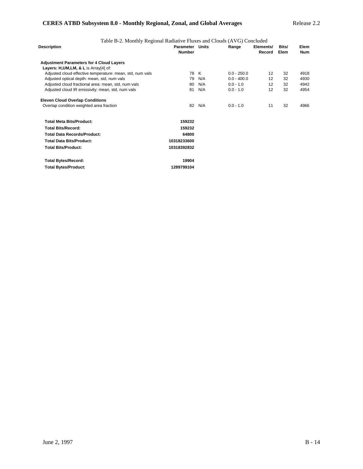## **CERES ATBD Subsystem 8.0 - Monthly Regional, Zonal, and Global Averages** Release 2.2

| Table B-2. Monthly Regional Radiative Fluxes and Clouds (AVG) Concluded |                                  |     |               |                     |               |                    |
|-------------------------------------------------------------------------|----------------------------------|-----|---------------|---------------------|---------------|--------------------|
| Description                                                             | Parameter Units<br><b>Number</b> |     | Range         | Elements/<br>Record | Bits/<br>Elem | Elem<br><b>Num</b> |
| <b>Adjustment Parameters for 4 Cloud Layers</b>                         |                                  |     |               |                     |               |                    |
| Layers: H, UM, LM, & L is Array[4] of:                                  |                                  |     |               |                     |               |                    |
| Adjusted cloud effective temperature: mean, std, num vals               | 78                               | K   | $0.0 - 250.0$ | 12                  | 32            | 4918               |
| Adjusted optical depth: mean, std, num vals                             | 79                               | N/A | $0.0 - 400.0$ | 12                  | 32            | 4930               |
| Adjusted cloud fractional area: mean, std, num vals                     | 80                               | N/A | $0.0 - 1.0$   | 12                  | 32            | 4942               |
| Adjusted cloud IR emissivity: mean, std, num vals                       | 81                               | N/A | $0.0 - 1.0$   | 12                  | 32            | 4954               |
| <b>Eleven Cloud Overlap Conditions</b>                                  |                                  |     |               |                     |               |                    |
| Overlap condition weighted area fraction                                | 82                               | N/A | $0.0 - 1.0$   | 11                  | 32            | 4966               |
| <b>Total Meta Bits/Product:</b>                                         | 159232                           |     |               |                     |               |                    |
| <b>Total Bits/Record:</b>                                               | 159232                           |     |               |                     |               |                    |
| <b>Total Data Records/Product:</b>                                      | 64800                            |     |               |                     |               |                    |
| <b>Total Data Bits/Product:</b>                                         | 10318233600                      |     |               |                     |               |                    |
| <b>Total Bits/Product:</b>                                              | 10318392832                      |     |               |                     |               |                    |
| <b>Total Bytes/Record:</b>                                              | 19904                            |     |               |                     |               |                    |
| <b>Total Bytes/Product:</b>                                             | 1289799104                       |     |               |                     |               |                    |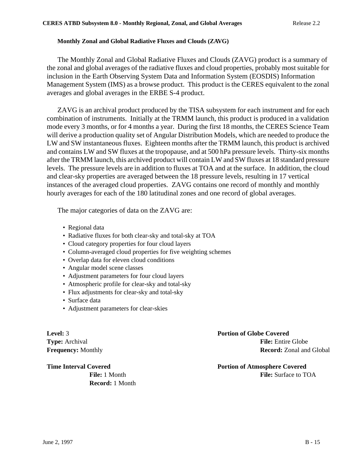### **Monthly Zonal and Global Radiative Fluxes and Clouds (ZAVG)**

The Monthly Zonal and Global Radiative Fluxes and Clouds (ZAVG) product is a summary of the zonal and global averages of the radiative fluxes and cloud properties, probably most suitable for inclusion in the Earth Observing System Data and Information System (EOSDIS) Information Management System (IMS) as a browse product. This product is the CERES equivalent to the zonal averages and global averages in the ERBE S-4 product.

ZAVG is an archival product produced by the TISA subsystem for each instrument and for each combination of instruments. Initially at the TRMM launch, this product is produced in a validation mode every 3 months, or for 4 months a year. During the first 18 months, the CERES Science Team will derive a production quality set of Angular Distribution Models, which are needed to produce the LW and SW instantaneous fluxes. Eighteen months after the TRMM launch, this product is archived and contains LW and SW fluxes at the tropopause, and at 500 hPa pressure levels. Thirty-six months after the TRMM launch, this archived product will contain LW and SW fluxes at 18 standard pressure levels. The pressure levels are in addition to fluxes at TOA and at the surface. In addition, the cloud and clear-sky properties are averaged between the 18 pressure levels, resulting in 17 vertical instances of the averaged cloud properties. ZAVG contains one record of monthly and monthly hourly averages for each of the 180 latitudinal zones and one record of global averages.

The major categories of data on the ZAVG are:

- Regional data
- Radiative fluxes for both clear-sky and total-sky at TOA
- Cloud category properties for four cloud layers
- Column-averaged cloud properties for five weighting schemes
- Overlap data for eleven cloud conditions
- Angular model scene classes
- Adjustment parameters for four cloud layers
- Atmospheric profile for clear-sky and total-sky
- Flux adjustments for clear-sky and total-sky
- Surface data
- Adjustment parameters for clear-skies

**Level:** 3 **Portion of Globe Covered Type:** Archival **File:** Entire Globe **Frequency:** Monthly **Record:** Zonal and Global

**Record:** 1 Month

**Time Interval Covered Portion of Atmosphere Covered File:** 1 Month **File:** 1 Month **File:** Surface to TOA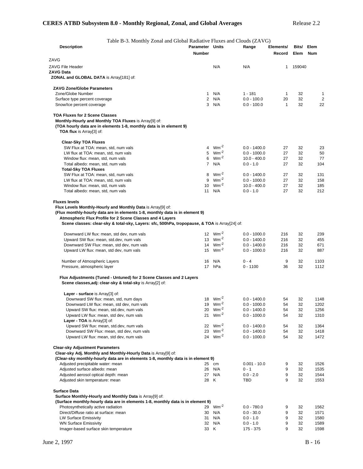| Table B-3. Monthly Zonal and Global Radiative Fluxes and Clouds (ZAVG)                                                                                     |                                  |                           |                                  |                     |               |              |
|------------------------------------------------------------------------------------------------------------------------------------------------------------|----------------------------------|---------------------------|----------------------------------|---------------------|---------------|--------------|
| <b>Description</b>                                                                                                                                         | Parameter Units<br><b>Number</b> |                           | Range                            | Elements/<br>Record | Bits/<br>Elem | Elem<br>Num  |
| ZAVG                                                                                                                                                       |                                  |                           |                                  |                     |               |              |
| ZAVG File Header                                                                                                                                           |                                  | N/A                       | N/A                              | 1                   | 159040        |              |
| ZAVG Data                                                                                                                                                  |                                  |                           |                                  |                     |               |              |
| ZONAL and GLOBAL DATA is Array[181] of:                                                                                                                    |                                  |                           |                                  |                     |               |              |
| <b>ZAVG Zone/Globe Parameters</b>                                                                                                                          |                                  |                           |                                  |                     |               |              |
| Zone/Globe Number                                                                                                                                          | $\mathbf{1}$                     | N/A                       | $1 - 181$                        | 1                   | 32            | 1            |
| Surface type percent coverage                                                                                                                              | 2                                | N/A                       | $0.0 - 100.0$                    | 20                  | 32            | 2            |
| Snow/Ice percent coverage                                                                                                                                  | 3                                | N/A                       | $0.0 - 100.0$                    | $\mathbf{1}$        | 32            | 22           |
| <b>TOA Fluxes for 2 Scene Classes</b>                                                                                                                      |                                  |                           |                                  |                     |               |              |
| Monthly-Hourly and Monthly TOA Fluxes is Array[9] of:                                                                                                      |                                  |                           |                                  |                     |               |              |
| (TOA hourly data are in elements 1-8, monthly data is in element 9)                                                                                        |                                  |                           |                                  |                     |               |              |
| <b>TOA flux</b> is Array[3] of:                                                                                                                            |                                  |                           |                                  |                     |               |              |
| <b>Clear-Sky TOA Fluxes</b>                                                                                                                                |                                  |                           |                                  |                     |               |              |
| SW Flux at TOA: mean, std, num vals                                                                                                                        | $\overline{4}$                   | $Wm^{-2}$                 | $0.0 - 1400.0$                   | 27                  | 32            | 23           |
| LW flux at TOA: mean, std, num vals                                                                                                                        | 5                                | $Wm^{-2}$                 | $0.0 - 1000.0$                   | 27                  | 32            | 50           |
| Window flux: mean, std, num vals                                                                                                                           | 6                                | $Wm^{-2}$                 | $10.0 - 400.0$                   | 27                  | 32            | 77           |
| Total albedo: mean, std, num vals                                                                                                                          | $\overline{7}$                   | N/A                       | $0.0 - 1.0$                      | 27                  | 32            | 104          |
| <b>Total-Sky TOA Fluxes</b>                                                                                                                                |                                  |                           |                                  |                     |               |              |
| SW Flux at TOA: mean, std, num vals                                                                                                                        | 8                                | $Wm^{-2}$                 | $0.0 - 1400.0$                   | 27                  | 32            | 131          |
| LW flux at TOA: mean, std, num vals                                                                                                                        | 9                                | $Wm^{-2}$                 | $0.0 - 1000.0$                   | 27                  | 32            | 158          |
| Window flux: mean, std, num vals                                                                                                                           | 10 <sup>°</sup>                  | $Wm^{-2}$                 | $10.0 - 400.0$                   | 27                  | 32            | 185          |
| Total albedo: mean, std, num vals                                                                                                                          | 11                               | N/A                       | $0.0 - 1.0$                      | 27                  | 32            | 212          |
| <b>Fluxes levels</b>                                                                                                                                       |                                  |                           |                                  |                     |               |              |
| Flux Levels Monthly-Hourly and Monthly Data is Array[9] of:                                                                                                |                                  |                           |                                  |                     |               |              |
| (Flux monthly-hourly data are in elements 1-8, monthly data is in element 9)                                                                               |                                  |                           |                                  |                     |               |              |
| Atmospheric Flux Profile for 2 Scene Classes and 4 Layers<br>Scene classes: clear-sky & total-sky, Layers: sfc, 500hPa, tropopause, & TOA is Array[24] of: |                                  |                           |                                  |                     |               |              |
| Downward LW flux: mean, std dev, num vals                                                                                                                  |                                  | 12 $Wm^{-2}$              | $0.0 - 1000.0$                   | 216                 | 32            | 239          |
| Upward SW flux: mean, std.dev, num vals                                                                                                                    |                                  | 13 $Wm^{-2}$              | $0.0 - 1400.0$                   | 216                 | 32            | 455          |
| Downward SW Flux: mean, std dev, num vals                                                                                                                  |                                  | 14 $Wm^{-2}$              | $0.0 - 1400.0$                   | 216                 | 32            | 671          |
| Upward LW flux: mean, std dev, num vals                                                                                                                    |                                  | 15 $Wm^{-2}$              | $0.0 - 1000.0$                   | 216                 | 32            | 887          |
| Number of Atmospheric Layers                                                                                                                               | 16                               | N/A                       | $0 - 4$                          | 9                   | 32            | 1103         |
| Pressure, atmospheric layer                                                                                                                                |                                  | 17 hPa                    | $0 - 1100$                       | 36                  | 32            | 1112         |
| Flux Adjustments (Tuned - Untuned) for 2 Scene Classes and 2 Layers                                                                                        |                                  |                           |                                  |                     |               |              |
| Scene classes, adj: clear-sky & total-sky is Array[2] of:                                                                                                  |                                  |                           |                                  |                     |               |              |
| Layer - surface is Array[3] of:                                                                                                                            |                                  |                           |                                  |                     |               |              |
| Downward SW flux: mean, std, num days                                                                                                                      |                                  | 18 $Wm^{-2}$              | $0.0 - 1400.0$                   | 54                  | 32            | 1148         |
| Downward LW flux: mean, std dev, num vals                                                                                                                  |                                  | 19 $Wm^{-2}$              | $0.0 - 1000.0$                   | 54                  | 32            | 1202         |
| Upward SW flux: mean, std.dev, num vals                                                                                                                    |                                  | 20 $Wm^{-2}$              | $0.0 - 1400.0$                   | 54                  | 32            | 1256         |
| Upward LW flux: mean, std dev, num vals                                                                                                                    | 21                               | $Wm^{-2}$                 | $0.0 - 1000.0$                   | 54                  | 32            | 1310         |
| Layer - TOA is Array[3] of:                                                                                                                                |                                  |                           |                                  |                     |               |              |
| Upward SW flux: mean, std.dev, num vals                                                                                                                    | 23                               | 22 $Wm^{-2}$<br>$Wm^{-2}$ | $0.0 - 1400.0$                   | 54                  | 32            | 1364         |
| Downward SW Flux: mean, std dev, num vals<br>Upward LW flux: mean, std dev, num vals                                                                       |                                  | 24 $Wm^{-2}$              | $0.0 - 1400.0$<br>$0.0 - 1000.0$ | 54<br>54            | 32<br>32      | 1418<br>1472 |
|                                                                                                                                                            |                                  |                           |                                  |                     |               |              |
| <b>Clear-sky Adjustment Parameters</b><br>Clear-sky Adj. Monthly and Monthly-Hourly Data is Array[9] of:                                                   |                                  |                           |                                  |                     |               |              |
| (Clear-sky monthly-hourly data are in elements 1-8, monthly data is in element 9)                                                                          |                                  |                           |                                  |                     |               |              |
| Adjusted precipitable water: mean                                                                                                                          | 25                               | cm                        | $0.001 - 10.0$                   | 9                   | 32            | 1526         |
| Adjusted surface albedo: mean                                                                                                                              |                                  | 26 N/A                    | $0 - 1$                          | 9                   | 32            | 1535         |
| Adjusted aerosol optical depth: mean                                                                                                                       |                                  | 27 N/A                    | $0.0 - 2.0$                      | 9                   | 32            | 1544         |
| Adjusted skin temperature: mean                                                                                                                            |                                  | 28 K                      | TBD                              | 9                   | 32            | 1553         |
| <b>Surface Data</b>                                                                                                                                        |                                  |                           |                                  |                     |               |              |
| Surface Monthly-Hourly and Monthly Data is Array[9] of:                                                                                                    |                                  |                           |                                  |                     |               |              |
| (Surface monthly-hourly data are in elements 1-8, monthly data is in element 9)                                                                            | 29                               | $Wm^{-2}$                 | $0.0 - 780.0$                    |                     |               |              |
| Photosynthetically active radiation<br>Direct/Diffuse ratio at surface: mean                                                                               |                                  | 30 N/A                    | $0.0 - 30.0$                     | 9<br>9              | 32<br>32      | 1562<br>1571 |
| <b>LW Surface Emissivity</b>                                                                                                                               |                                  | 31 N/A                    | $0.0 - 1.0$                      | 9                   | 32            | 1580         |
| <b>WN Surface Emissivity</b>                                                                                                                               |                                  | 32 N/A                    | $0.0 - 1.0$                      | 9                   | 32            | 1589         |
| Imager-based surface skin temperature                                                                                                                      |                                  | 33 K                      | 175 - 375                        | 9                   | 32            | 1598         |

Imager-based surface skin temperature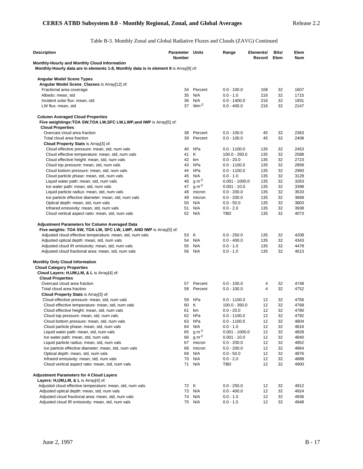Table B-3. Monthly Zonal and Global Radiative Fluxes and Clouds (ZAVG) Continued

| <b>Description</b>                                                                                                                                                                                                                                                                                                                                  | Parameter Units<br><b>Number</b> |                           | Range                                                        | Elements/<br>Record      | Bits/<br>Elem        | Elem<br>Num                  |
|-----------------------------------------------------------------------------------------------------------------------------------------------------------------------------------------------------------------------------------------------------------------------------------------------------------------------------------------------------|----------------------------------|---------------------------|--------------------------------------------------------------|--------------------------|----------------------|------------------------------|
| Monthly-Hourly and Monthly Cloud Information                                                                                                                                                                                                                                                                                                        |                                  |                           |                                                              |                          |                      |                              |
| Monthly-Hourly data are in elements 1-8, Monthly data is in element 9 is Array[9] of:                                                                                                                                                                                                                                                               |                                  |                           |                                                              |                          |                      |                              |
| <b>Angular Model Scene Types</b>                                                                                                                                                                                                                                                                                                                    |                                  |                           |                                                              |                          |                      |                              |
| Angular Model Scene_Classes is Array[12] of:                                                                                                                                                                                                                                                                                                        |                                  |                           |                                                              |                          |                      |                              |
| Fractional area coverage                                                                                                                                                                                                                                                                                                                            | 34                               | Percent                   | $0.0 - 100.0$                                                | 108                      | 32                   | 1607                         |
| Albedo: mean, std                                                                                                                                                                                                                                                                                                                                   | 35                               | N/A                       | $0.0 - 1.0$                                                  | 216                      | 32                   | 1715                         |
| Incident solar flux: mean, std                                                                                                                                                                                                                                                                                                                      | 36                               | N/A                       | $0.0 - 1400.0$                                               | 216                      | 32                   | 1931                         |
| LW flux: mean, std                                                                                                                                                                                                                                                                                                                                  |                                  | 37 Wm <sup>-2</sup>       | $0.0 - 400.0$                                                | 216                      | 32                   | 2147                         |
| <b>Column Averaged Cloud Properties</b><br>Five weightings: TOA SW, TOA LW, SFC LW, LWP, and IWP is Array[5] of:<br><b>Cloud Properties</b>                                                                                                                                                                                                         |                                  |                           |                                                              |                          |                      |                              |
| Overcast cloud area fraction                                                                                                                                                                                                                                                                                                                        | 38                               | Percent                   | $0.0 - 100.0$                                                | 45                       | 32                   | 2363                         |
| Total cloud area fraction                                                                                                                                                                                                                                                                                                                           | 39                               | Percent                   | $0.0 - 100.0$                                                | 45                       | 32                   | 2408                         |
| Cloud Property Stats is Array[3] of:                                                                                                                                                                                                                                                                                                                |                                  |                           |                                                              |                          |                      |                              |
| Cloud effective pressure: mean, std, num vals                                                                                                                                                                                                                                                                                                       | 40                               | hPa                       | $0.0 - 1100.0$                                               | 135                      | 32                   | 2453                         |
| Cloud effective temperature: mean, std, num vals                                                                                                                                                                                                                                                                                                    | 41                               | K                         | $100.0 - 350.0$                                              | 135                      | 32                   | 2588                         |
| Cloud effective height: mean, std, num vals                                                                                                                                                                                                                                                                                                         | 42                               | km                        | $0.0 - 20.0$                                                 | 135                      | 32                   | 2723                         |
| Cloud top pressure: mean, std, num vals                                                                                                                                                                                                                                                                                                             | 43                               | hPa                       | $0.0 - 1100.0$                                               | 135                      | 32                   | 2858                         |
| Cloud bottom pressure: mean, std, num vals                                                                                                                                                                                                                                                                                                          | 44                               | hPa                       | $0.0 - 1100.0$                                               | 135                      | 32                   | 2993                         |
| Cloud particle phase: mean, std, num vals                                                                                                                                                                                                                                                                                                           | 45                               | N/A                       | $0.0 - 1.0$                                                  | 135                      | 32                   | 3128                         |
| Liquid water path: mean, std, num vals                                                                                                                                                                                                                                                                                                              | 46                               | $g m-2$                   | $0.001 - 1000.0$                                             | 135                      | 32                   | 3263                         |
| Ice water path: mean, std, num vals                                                                                                                                                                                                                                                                                                                 | 47                               | $q m-2$                   | $0.001 - 10.0$                                               | 135                      | 32                   | 3398                         |
| Liquid particle radius: mean, std, num vals                                                                                                                                                                                                                                                                                                         | 48                               | micron                    | $0.0 - 200.0$                                                | 135                      | 32                   | 3533                         |
| Ice particle effective diameter: mean, std, num vals                                                                                                                                                                                                                                                                                                | 49                               | micron                    | $0.0 - 200.0$                                                | 135                      | 32                   | 3668                         |
| Optical depth: mean, std, num vals                                                                                                                                                                                                                                                                                                                  | 50                               | N/A                       | $0.0 - 50.0$                                                 | 135                      | 32                   | 3803                         |
| Infrared emissivity: mean, std, num vals                                                                                                                                                                                                                                                                                                            | 51                               | N/A                       | $0.0 - 2.0$                                                  | 135                      | 32                   | 3938                         |
| Cloud vertical aspect ratio: mean, std, num vals                                                                                                                                                                                                                                                                                                    | 52                               | N/A                       | TBD                                                          | 135                      | 32                   | 4073                         |
| <b>Adjustment Parameters for Column Averaged Data</b><br>Five weights: TOA SW, TOA LW, SFC LW, LWP, AND IWP is Array[5] of:<br>Adjusted cloud effective temperature: mean, std, num vals<br>Adjusted optical depth: mean, std, num vals<br>Adjusted cloud IR emissivity: mean, std, num vals<br>Adjusted cloud fractional area: mean, std, num vals | 53<br>54<br>55                   | К<br>N/A<br>N/A<br>56 N/A | $0.0 - 250.0$<br>$0.0 - 400.0$<br>$0.0 - 1.0$<br>$0.0 - 1.0$ | 135<br>135<br>135<br>135 | 32<br>32<br>32<br>32 | 4208<br>4343<br>4478<br>4613 |
| <b>Monthly Only Cloud Information</b>                                                                                                                                                                                                                                                                                                               |                                  |                           |                                                              |                          |                      |                              |
| <b>Cloud Category Properties</b>                                                                                                                                                                                                                                                                                                                    |                                  |                           |                                                              |                          |                      |                              |
| Cloud Layers: H, UM, LM, & L is Array[4] of:<br><b>Cloud Properties</b>                                                                                                                                                                                                                                                                             |                                  |                           |                                                              |                          |                      |                              |
| Overcast cloud area fraction                                                                                                                                                                                                                                                                                                                        | 57                               | Percent                   | $0.0 - 100.0$                                                | 4                        | 32                   | 4748                         |
| Total cloud area fraction                                                                                                                                                                                                                                                                                                                           | 58                               | Percent                   | $0.0 - 100.0$                                                | 4                        | 32                   | 4752                         |
| Cloud Property Stats is Array[3] of:                                                                                                                                                                                                                                                                                                                |                                  |                           |                                                              |                          |                      |                              |
| Cloud effective pressure: mean, std, num vals                                                                                                                                                                                                                                                                                                       | 59                               | hPa                       | $0.0 - 1100.0$                                               | 12                       | 32                   | 4756                         |
| Cloud effective temperature: mean, std, num vals                                                                                                                                                                                                                                                                                                    | 60                               | К                         | $100.0 - 350.0$                                              | 12                       | 32                   | 4768                         |
| Cloud effective height: mean, std, num vals                                                                                                                                                                                                                                                                                                         | 61                               | km                        | $0.0 - 20.0$                                                 | 12                       | 32                   | 4780                         |
| Cloud top pressure: mean, std, num vals                                                                                                                                                                                                                                                                                                             |                                  | 62 hPa                    | $0.0 - 1100.0$                                               | 12                       | 32                   | 4792                         |
| Cloud bottom pressure: mean, std, num vals                                                                                                                                                                                                                                                                                                          | 63                               | hPa                       | $0.0 - 1100.0$                                               | 12                       | 32                   | 4804                         |
| Cloud particle phase: mean, std, num vals                                                                                                                                                                                                                                                                                                           | 64                               | N/A                       | $0.0 - 1.0$                                                  | 12                       | 32                   | 4816                         |
| Liquid water path: mean, std, num vals                                                                                                                                                                                                                                                                                                              | 65                               | $g m-2$                   | $0.001 - 1000.0$                                             | 12                       | 32                   | 4828                         |
| Ice water path: mean, std, num vals                                                                                                                                                                                                                                                                                                                 | 66                               | $g m-2$                   | $0.001 - 10.0$                                               | 12                       | 32                   | 4840                         |
| Liquid particle radius: mean, std, num vals                                                                                                                                                                                                                                                                                                         | 67                               | micron                    | $0.0 - 200.0$                                                | 12                       | 32                   | 4852                         |
| Ice particle effective diameter: mean, std, num vals                                                                                                                                                                                                                                                                                                | 68                               | micron                    | $0.0 - 200.0$                                                | 12                       | 32                   | 4864                         |
| Optical depth: mean, std, num vals                                                                                                                                                                                                                                                                                                                  | 69                               | N/A                       | $0.0 - 50.0$                                                 | 12                       | 32                   | 4876                         |
| Infrared emissivity: mean, std, num vals                                                                                                                                                                                                                                                                                                            | 70                               | N/A                       | $0.0 - 2.0$                                                  | 12                       | 32                   | 4888                         |
| Cloud vertical aspect ratio: mean, std, num vals                                                                                                                                                                                                                                                                                                    | 71                               | N/A                       | TBD                                                          | 12                       | 32                   | 4900                         |
| <b>Adjustment Parameters for 4 Cloud Layers</b>                                                                                                                                                                                                                                                                                                     |                                  |                           |                                                              |                          |                      |                              |
| Layers: H,UM,LM, & L is Array[4] of:                                                                                                                                                                                                                                                                                                                |                                  |                           |                                                              |                          |                      |                              |
| Adjusted cloud effective temperature: mean, std, num vals                                                                                                                                                                                                                                                                                           | 72 K                             |                           | $0.0 - 250.0$                                                | 12                       | 32                   | 4912                         |
| Adjusted optical depth: mean, std, num vals                                                                                                                                                                                                                                                                                                         | 73                               | N/A                       | $0.0 - 400.0$                                                | 12                       | 32                   | 4924                         |
| Adjusted cloud fractional area: mean, std, num vals                                                                                                                                                                                                                                                                                                 | 74                               | N/A                       | $0.0 - 1.0$                                                  | 12                       | 32                   | 4936                         |
| Adjusted cloud IR emissivity: mean, std, num vals                                                                                                                                                                                                                                                                                                   |                                  | 75 N/A                    | $0.0 - 1.0$                                                  | 12                       | 32                   | 4948                         |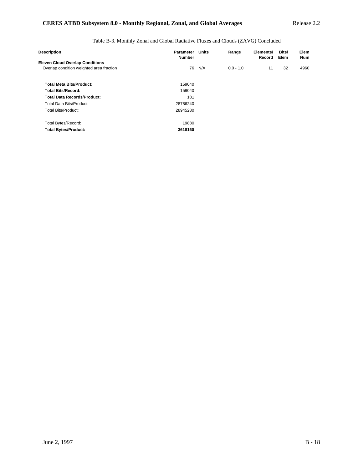Table B-3. Monthly Zonal and Global Radiative Fluxes and Clouds (ZAVG) Concluded

| Parameter<br><b>Number</b> | Units | Range | Elements/<br>Record | Bits/<br>Elem | Elem<br><b>Num</b> |
|----------------------------|-------|-------|---------------------|---------------|--------------------|
|                            |       |       |                     |               |                    |
|                            |       |       |                     |               | 4960               |
| 159040                     |       |       |                     |               |                    |
| 159040                     |       |       |                     |               |                    |
| 181                        |       |       |                     |               |                    |
| 28786240                   |       |       |                     |               |                    |
| 28945280                   |       |       |                     |               |                    |
| 19880                      |       |       |                     |               |                    |
| 3618160                    |       |       |                     |               |                    |
|                            | 76    | N/A   | $0.0 - 1.0$         | 11            | 32                 |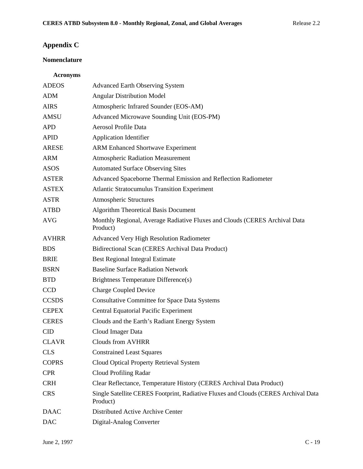# **Appendix C**

# **Nomenclature**

## **Acronyms**

| <b>ADEOS</b> | <b>Advanced Earth Observing System</b>                                                         |
|--------------|------------------------------------------------------------------------------------------------|
| <b>ADM</b>   | <b>Angular Distribution Model</b>                                                              |
| <b>AIRS</b>  | Atmospheric Infrared Sounder (EOS-AM)                                                          |
| <b>AMSU</b>  | Advanced Microwave Sounding Unit (EOS-PM)                                                      |
| <b>APD</b>   | Aerosol Profile Data                                                                           |
| <b>APID</b>  | <b>Application Identifier</b>                                                                  |
| <b>ARESE</b> | <b>ARM Enhanced Shortwave Experiment</b>                                                       |
| <b>ARM</b>   | <b>Atmospheric Radiation Measurement</b>                                                       |
| <b>ASOS</b>  | <b>Automated Surface Observing Sites</b>                                                       |
| <b>ASTER</b> | Advanced Spaceborne Thermal Emission and Reflection Radiometer                                 |
| <b>ASTEX</b> | <b>Atlantic Stratocumulus Transition Experiment</b>                                            |
| <b>ASTR</b>  | <b>Atmospheric Structures</b>                                                                  |
| <b>ATBD</b>  | <b>Algorithm Theoretical Basis Document</b>                                                    |
| <b>AVG</b>   | Monthly Regional, Average Radiative Fluxes and Clouds (CERES Archival Data<br>Product)         |
| <b>AVHRR</b> | <b>Advanced Very High Resolution Radiometer</b>                                                |
| <b>BDS</b>   | Bidirectional Scan (CERES Archival Data Product)                                               |
| <b>BRIE</b>  | <b>Best Regional Integral Estimate</b>                                                         |
| <b>BSRN</b>  | <b>Baseline Surface Radiation Network</b>                                                      |
| <b>BTD</b>   | Brightness Temperature Difference(s)                                                           |
| <b>CCD</b>   | <b>Charge Coupled Device</b>                                                                   |
| <b>CCSDS</b> | <b>Consultative Committee for Space Data Systems</b>                                           |
| <b>CEPEX</b> | <b>Central Equatorial Pacific Experiment</b>                                                   |
| <b>CERES</b> | Clouds and the Earth's Radiant Energy System                                                   |
| <b>CID</b>   | Cloud Imager Data                                                                              |
| <b>CLAVR</b> | <b>Clouds from AVHRR</b>                                                                       |
| <b>CLS</b>   | <b>Constrained Least Squares</b>                                                               |
| <b>COPRS</b> | Cloud Optical Property Retrieval System                                                        |
| <b>CPR</b>   | <b>Cloud Profiling Radar</b>                                                                   |
| <b>CRH</b>   | Clear Reflectance, Temperature History (CERES Archival Data Product)                           |
| <b>CRS</b>   | Single Satellite CERES Footprint, Radiative Fluxes and Clouds (CERES Archival Data<br>Product) |
| <b>DAAC</b>  | Distributed Active Archive Center                                                              |
| <b>DAC</b>   | Digital-Analog Converter                                                                       |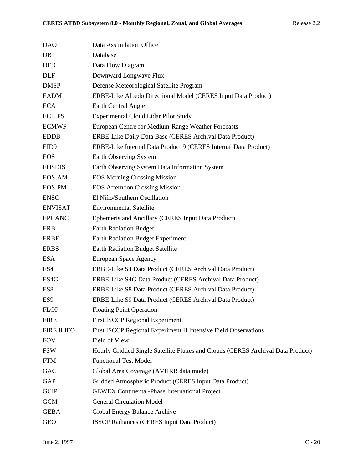| <b>DAO</b>       | Data Assimilation Office                                                        |
|------------------|---------------------------------------------------------------------------------|
| DB               | Database                                                                        |
| <b>DFD</b>       | Data Flow Diagram                                                               |
| <b>DLF</b>       | Downward Longwave Flux                                                          |
| <b>DMSP</b>      | Defense Meteorological Satellite Program                                        |
| <b>EADM</b>      | ERBE-Like Albedo Directional Model (CERES Input Data Product)                   |
| <b>ECA</b>       | Earth Central Angle                                                             |
| <b>ECLIPS</b>    | <b>Experimental Cloud Lidar Pilot Study</b>                                     |
| <b>ECMWF</b>     | European Centre for Medium-Range Weather Forecasts                              |
| <b>EDDB</b>      | ERBE-Like Daily Data Base (CERES Archival Data Product)                         |
| EID <sub>9</sub> | ERBE-Like Internal Data Product 9 (CERES Internal Data Product)                 |
| <b>EOS</b>       | Earth Observing System                                                          |
| <b>EOSDIS</b>    | Earth Observing System Data Information System                                  |
| EOS-AM           | <b>EOS Morning Crossing Mission</b>                                             |
| <b>EOS-PM</b>    | <b>EOS Afternoon Crossing Mission</b>                                           |
| <b>ENSO</b>      | El Niño/Southern Oscillation                                                    |
| <b>ENVISAT</b>   | <b>Environmental Satellite</b>                                                  |
| <b>EPHANC</b>    | Ephemeris and Ancillary (CERES Input Data Product)                              |
| <b>ERB</b>       | <b>Earth Radiation Budget</b>                                                   |
| <b>ERBE</b>      | <b>Earth Radiation Budget Experiment</b>                                        |
| <b>ERBS</b>      | <b>Earth Radiation Budget Satellite</b>                                         |
| <b>ESA</b>       | European Space Agency                                                           |
| ES4              | ERBE-Like S4 Data Product (CERES Archival Data Product)                         |
| ES4G             | ERBE-Like S4G Data Product (CERES Archival Data Product)                        |
| ES8              | ERBE-Like S8 Data Product (CERES Archival Data Product)                         |
| ES <sub>9</sub>  | ERBE-Like S9 Data Product (CERES Archival Data Product)                         |
| <b>FLOP</b>      | <b>Floating Point Operation</b>                                                 |
| <b>FIRE</b>      | <b>First ISCCP Regional Experiment</b>                                          |
| FIRE II IFO      | First ISCCP Regional Experiment II Intensive Field Observations                 |
| <b>FOV</b>       | Field of View                                                                   |
| <b>FSW</b>       | Hourly Gridded Single Satellite Fluxes and Clouds (CERES Archival Data Product) |
| <b>FTM</b>       | <b>Functional Test Model</b>                                                    |
| GAC              | Global Area Coverage (AVHRR data mode)                                          |
| GAP              | Gridded Atmospheric Product (CERES Input Data Product)                          |
| <b>GCIP</b>      | <b>GEWEX Continental-Phase International Project</b>                            |
| <b>GCM</b>       | <b>General Circulation Model</b>                                                |
| <b>GEBA</b>      | Global Energy Balance Archive                                                   |
| <b>GEO</b>       | <b>ISSCP Radiances (CERES Input Data Product)</b>                               |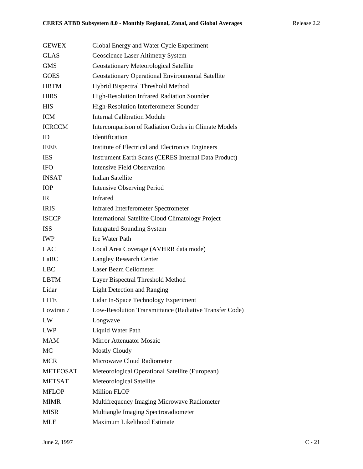| <b>GEWEX</b>    | Global Energy and Water Cycle Experiment                    |
|-----------------|-------------------------------------------------------------|
| <b>GLAS</b>     | Geoscience Laser Altimetry System                           |
| <b>GMS</b>      | Geostationary Meteorological Satellite                      |
| <b>GOES</b>     | <b>Geostationary Operational Environmental Satellite</b>    |
| <b>HBTM</b>     | Hybrid Bispectral Threshold Method                          |
| <b>HIRS</b>     | High-Resolution Infrared Radiation Sounder                  |
| <b>HIS</b>      | High-Resolution Interferometer Sounder                      |
| <b>ICM</b>      | <b>Internal Calibration Module</b>                          |
| <b>ICRCCM</b>   | Intercomparison of Radiation Codes in Climate Models        |
| ID              | Identification                                              |
| <b>IEEE</b>     | Institute of Electrical and Electronics Engineers           |
| <b>IES</b>      | <b>Instrument Earth Scans (CERES Internal Data Product)</b> |
| <b>IFO</b>      | <b>Intensive Field Observation</b>                          |
| <b>INSAT</b>    | <b>Indian Satellite</b>                                     |
| <b>IOP</b>      | <b>Intensive Observing Period</b>                           |
| IR              | <b>Infrared</b>                                             |
| <b>IRIS</b>     | <b>Infrared Interferometer Spectrometer</b>                 |
| <b>ISCCP</b>    | <b>International Satellite Cloud Climatology Project</b>    |
| <b>ISS</b>      | <b>Integrated Sounding System</b>                           |
| <b>IWP</b>      | <b>Ice Water Path</b>                                       |
| LAC             | Local Area Coverage (AVHRR data mode)                       |
| LaRC            | <b>Langley Research Center</b>                              |
| <b>LBC</b>      | Laser Beam Ceilometer                                       |
| <b>LBTM</b>     | Layer Bispectral Threshold Method                           |
| Lidar           | <b>Light Detection and Ranging</b>                          |
| <b>LITE</b>     | Lidar In-Space Technology Experiment                        |
| Lowtran 7       | Low-Resolution Transmittance (Radiative Transfer Code)      |
| ${\rm LW}$      | Longwave                                                    |
| <b>LWP</b>      | Liquid Water Path                                           |
| <b>MAM</b>      | Mirror Attenuator Mosaic                                    |
| MC              | <b>Mostly Cloudy</b>                                        |
| <b>MCR</b>      | Microwave Cloud Radiometer                                  |
| <b>METEOSAT</b> | Meteorological Operational Satellite (European)             |
| <b>METSAT</b>   | Meteorological Satellite                                    |
| <b>MFLOP</b>    | <b>Million FLOP</b>                                         |
| <b>MIMR</b>     | Multifrequency Imaging Microwave Radiometer                 |
| <b>MISR</b>     | Multiangle Imaging Spectroradiometer                        |
| <b>MLE</b>      | Maximum Likelihood Estimate                                 |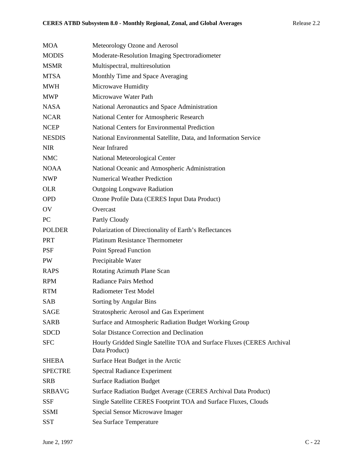| <b>MOA</b>     | Meteorology Ozone and Aerosol                                                           |
|----------------|-----------------------------------------------------------------------------------------|
| <b>MODIS</b>   | Moderate-Resolution Imaging Spectroradiometer                                           |
| <b>MSMR</b>    | Multispectral, multiresolution                                                          |
| <b>MTSA</b>    | Monthly Time and Space Averaging                                                        |
| MWH            | Microwave Humidity                                                                      |
| <b>MWP</b>     | Microwave Water Path                                                                    |
| <b>NASA</b>    | National Aeronautics and Space Administration                                           |
| <b>NCAR</b>    | National Center for Atmospheric Research                                                |
| <b>NCEP</b>    | <b>National Centers for Environmental Prediction</b>                                    |
| <b>NESDIS</b>  | National Environmental Satellite, Data, and Information Service                         |
| <b>NIR</b>     | Near Infrared                                                                           |
| <b>NMC</b>     | National Meteorological Center                                                          |
| <b>NOAA</b>    | National Oceanic and Atmospheric Administration                                         |
| <b>NWP</b>     | <b>Numerical Weather Prediction</b>                                                     |
| <b>OLR</b>     | <b>Outgoing Longwave Radiation</b>                                                      |
| <b>OPD</b>     | Ozone Profile Data (CERES Input Data Product)                                           |
| OV             | Overcast                                                                                |
| PC             | Partly Cloudy                                                                           |
| <b>POLDER</b>  | Polarization of Directionality of Earth's Reflectances                                  |
| <b>PRT</b>     | <b>Platinum Resistance Thermometer</b>                                                  |
| <b>PSF</b>     | <b>Point Spread Function</b>                                                            |
| <b>PW</b>      | Precipitable Water                                                                      |
| <b>RAPS</b>    | Rotating Azimuth Plane Scan                                                             |
| <b>RPM</b>     | <b>Radiance Pairs Method</b>                                                            |
| <b>RTM</b>     | <b>Radiometer Test Model</b>                                                            |
| SAB            | Sorting by Angular Bins                                                                 |
| SAGE           | Stratospheric Aerosol and Gas Experiment                                                |
| <b>SARB</b>    | Surface and Atmospheric Radiation Budget Working Group                                  |
| <b>SDCD</b>    | <b>Solar Distance Correction and Declination</b>                                        |
| <b>SFC</b>     | Hourly Gridded Single Satellite TOA and Surface Fluxes (CERES Archival<br>Data Product) |
| SHEBA          | Surface Heat Budget in the Arctic                                                       |
| <b>SPECTRE</b> | <b>Spectral Radiance Experiment</b>                                                     |
| <b>SRB</b>     | <b>Surface Radiation Budget</b>                                                         |
| <b>SRBAVG</b>  | Surface Radiation Budget Average (CERES Archival Data Product)                          |
| SSF            | Single Satellite CERES Footprint TOA and Surface Fluxes, Clouds                         |
| <b>SSMI</b>    | Special Sensor Microwave Imager                                                         |
| <b>SST</b>     | Sea Surface Temperature                                                                 |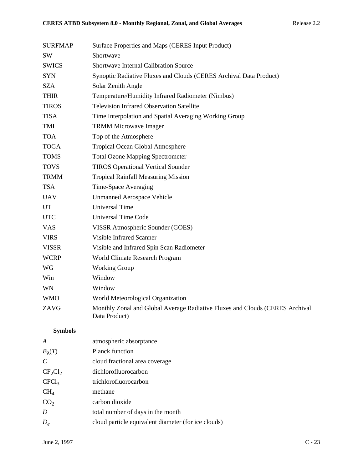| <b>SURFMAP</b> | Surface Properties and Maps (CERES Input Product)                                             |
|----------------|-----------------------------------------------------------------------------------------------|
| <b>SW</b>      | Shortwave                                                                                     |
| <b>SWICS</b>   | <b>Shortwave Internal Calibration Source</b>                                                  |
| <b>SYN</b>     | Synoptic Radiative Fluxes and Clouds (CERES Archival Data Product)                            |
| SZA            | Solar Zenith Angle                                                                            |
| <b>THIR</b>    | Temperature/Humidity Infrared Radiometer (Nimbus)                                             |
| <b>TIROS</b>   | <b>Television Infrared Observation Satellite</b>                                              |
| <b>TISA</b>    | Time Interpolation and Spatial Averaging Working Group                                        |
| TMI            | <b>TRMM Microwave Imager</b>                                                                  |
| <b>TOA</b>     | Top of the Atmosphere                                                                         |
| <b>TOGA</b>    | Tropical Ocean Global Atmosphere                                                              |
| <b>TOMS</b>    | <b>Total Ozone Mapping Spectrometer</b>                                                       |
| <b>TOVS</b>    | <b>TIROS Operational Vertical Sounder</b>                                                     |
| <b>TRMM</b>    | <b>Tropical Rainfall Measuring Mission</b>                                                    |
| <b>TSA</b>     | Time-Space Averaging                                                                          |
| <b>UAV</b>     | <b>Unmanned Aerospace Vehicle</b>                                                             |
| <b>UT</b>      | <b>Universal Time</b>                                                                         |
| <b>UTC</b>     | <b>Universal Time Code</b>                                                                    |
| <b>VAS</b>     | VISSR Atmospheric Sounder (GOES)                                                              |
| <b>VIRS</b>    | <b>Visible Infrared Scanner</b>                                                               |
| <b>VISSR</b>   | Visible and Infrared Spin Scan Radiometer                                                     |
| <b>WCRP</b>    | World Climate Research Program                                                                |
| WG             | <b>Working Group</b>                                                                          |
| Win            | Window                                                                                        |
| <b>WN</b>      | Window                                                                                        |
| <b>WMO</b>     | World Meteorological Organization                                                             |
| ZAVG           | Monthly Zonal and Global Average Radiative Fluxes and Clouds (CERES Archival<br>Data Product) |

# **Symbols**

| A                 | atmospheric absorptance                             |
|-------------------|-----------------------------------------------------|
| $B_{\lambda}(T)$  | <b>Planck function</b>                              |
| $\overline{C}$    | cloud fractional area coverage                      |
| $CF_2Cl_2$        | dichlorofluorocarbon                                |
| CFCl <sub>3</sub> | trichlorofluorocarbon                               |
| $\rm CH_{4}$      | methane                                             |
| CO <sub>2</sub>   | carbon dioxide                                      |
| D                 | total number of days in the month                   |
| $D_{\rho}$        | cloud particle equivalent diameter (for ice clouds) |
|                   |                                                     |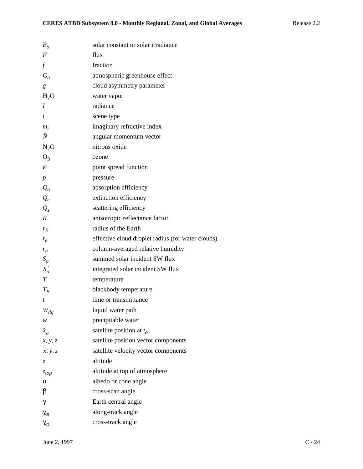| $E_{\alpha}$                | solar constant or solar irradiance                |
|-----------------------------|---------------------------------------------------|
| $\boldsymbol{F}$            | flux                                              |
| $\int$                      | fraction                                          |
| $G_a$                       | atmospheric greenhouse effect                     |
| $\boldsymbol{g}$            | cloud asymmetry parameter                         |
| $H_2O$                      | water vapor                                       |
| I                           | radiance                                          |
| $\dot{i}$                   | scene type                                        |
| $m_i$                       | imaginary refractive index                        |
| Ñ                           | angular momentum vector                           |
| $N_2O$                      | nitrous oxide                                     |
| O <sub>3</sub>              | ozone                                             |
| $\boldsymbol{P}$            | point spread function                             |
| $\boldsymbol{p}$            | pressure                                          |
| $Q_a$                       | absorption efficiency                             |
| $Q_e$                       | extinction efficiency                             |
| $Q_{s}$                     | scattering efficiency                             |
| $\boldsymbol{R}$            | anisotropic reflectance factor                    |
| $r_E$                       | radius of the Earth                               |
| $r_e$                       | effective cloud droplet radius (for water clouds) |
| $r_h$                       | column-averaged relative humidity                 |
| S <sub>o</sub>              | summed solar incident SW flux                     |
| $S'_{o}$                    | integrated solar incident SW flux                 |
| $\boldsymbol{T}$            | temperature                                       |
| $T_R$                       | blackbody temperature                             |
| t                           | time or transmittance                             |
| $W_{liq}$                   | liquid water path                                 |
| w                           | precipitable water                                |
| $\hat{x}_o$                 | satellite position at $t_o$                       |
| x, y, z                     | satellite position vector components              |
| $\dot{x}, \dot{y}, \dot{z}$ | satellite velocity vector components              |
| Z.                          | altitude                                          |
| $z_{top}$                   | altitude at top of atmosphere                     |
| α                           | albedo or cone angle                              |
| β                           | cross-scan angle                                  |
| γ                           | Earth central angle                               |
| $\gamma_{at}$               | along-track angle                                 |
| $\gamma_{ct}$               | cross-track angle                                 |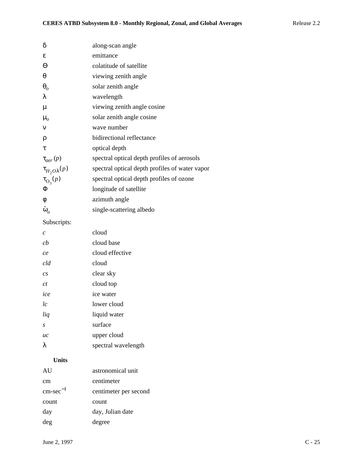| δ                       | along-scan angle                               |
|-------------------------|------------------------------------------------|
| ε                       | emittance                                      |
| Θ                       | colatitude of satellite                        |
| $\theta$                | viewing zenith angle                           |
| $\theta_o$              | solar zenith angle                             |
| λ                       | wavelength                                     |
| μ                       | viewing zenith angle cosine                    |
| $\mu_{o}$               | solar zenith angle cosine                      |
| $\mathbf v$             | wave number                                    |
| ρ                       | bidirectional reflectance                      |
| τ                       | optical depth                                  |
| $\tau_{\text{der}}(p)$  | spectral optical depth profiles of aerosols    |
| $\tau_{H_2O\lambda}(p)$ | spectral optical depth profiles of water vapor |
| $\tau_{\text{O}_3}(p)$  | spectral optical depth profiles of ozone       |
| Φ                       | longitude of satellite                         |
| φ                       | azimuth angle                                  |
| $\tilde{\omega}_o$      | single-scattering albedo                       |
|                         |                                                |

Subscripts:

| $\mathcal{C}$    | cloud               |
|------------------|---------------------|
| cb               | cloud base          |
| ce               | cloud effective     |
| cld              | cloud               |
| $\overline{c}$ s | clear sky           |
| ct               | cloud top           |
| ice              | ice water           |
| lc               | lower cloud         |
| liq              | liquid water        |
| S.               | surface             |
| uc               | upper cloud         |
| λ                | spectral wavelength |

# **Units**

| AU                   | astronomical unit     |
|----------------------|-----------------------|
| cm                   | centimeter            |
| $cm\text{-}sec^{-1}$ | centimeter per second |
| count                | count                 |
| day                  | day, Julian date      |
| deg                  | degree                |